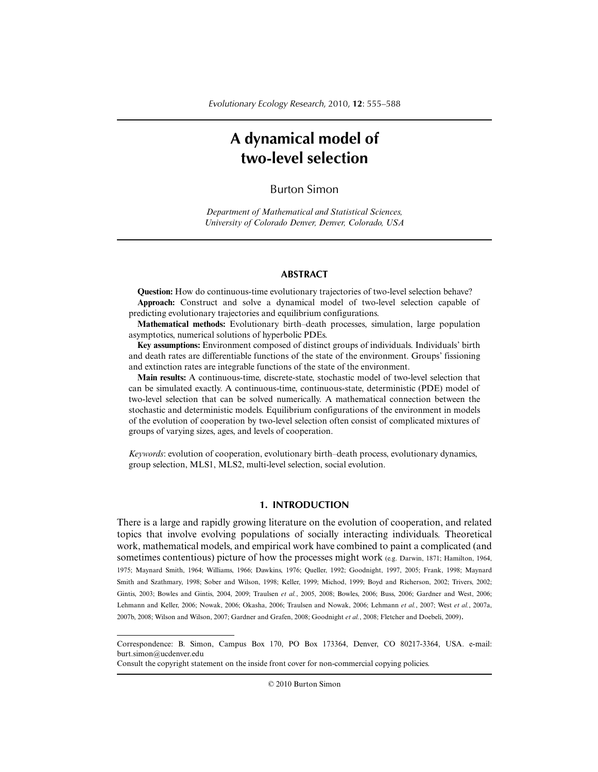# **A dynamical model of two-level selection**

## Burton Simon

*Department of Mathematical and Statistical Sciences, University of Colorado Denver, Denver, Colorado, USA*

### **ABSTRACT**

**Question:** How do continuous-time evolutionary trajectories of two-level selection behave? **Approach:** Construct and solve a dynamical model of two-level selection capable of predicting evolutionary trajectories and equilibrium configurations.

**Mathematical methods:** Evolutionary birth–death processes, simulation, large population asymptotics, numerical solutions of hyperbolic PDEs.

**Key assumptions:** Environment composed of distinct groups of individuals. Individuals' birth and death rates are differentiable functions of the state of the environment. Groups' fissioning and extinction rates are integrable functions of the state of the environment.

**Main results:** A continuous-time, discrete-state, stochastic model of two-level selection that can be simulated exactly. A continuous-time, continuous-state, deterministic (PDE) model of two-level selection that can be solved numerically. A mathematical connection between the stochastic and deterministic models. Equilibrium configurations of the environment in models of the evolution of cooperation by two-level selection often consist of complicated mixtures of groups of varying sizes, ages, and levels of cooperation.

*Keywords*: evolution of cooperation, evolutionary birth–death process, evolutionary dynamics, group selection, MLS1, MLS2, multi-level selection, social evolution.

## **1. INTRODUCTION**

There is a large and rapidly growing literature on the evolution of cooperation, and related topics that involve evolving populations of socially interacting individuals. Theoretical work, mathematical models, and empirical work have combined to paint a complicated (and sometimes contentious) picture of how the processes might work (e.g. Darwin, 1871; Hamilton, 1964, 1975; Maynard Smith, 1964; Williams, 1966; Dawkins, 1976; Queller, 1992; Goodnight, 1997, 2005; Frank, 1998; Maynard Smith and Szathmary, 1998; Sober and Wilson, 1998; Keller, 1999; Michod, 1999; Boyd and Richerson, 2002; Trivers, 2002; Gintis, 2003; Bowles and Gintis, 2004, 2009; Traulsen *et al.*, 2005, 2008; Bowles, 2006; Buss, 2006; Gardner and West, 2006; Lehmann and Keller, 2006; Nowak, 2006; Okasha, 2006; Traulsen and Nowak, 2006; Lehmann *et al.*, 2007; West *et al.*, 2007a, 2007b, 2008; Wilson and Wilson, 2007; Gardner and Grafen, 2008; Goodnight *et al.*, 2008; Fletcher and Doebeli, 2009).

Consult the copyright statement on the inside front cover for non-commercial copying policies.

© 2010 Burton Simon

Correspondence: B. Simon, Campus Box 170, PO Box 173364, Denver, CO 80217-3364, USA. e-mail: burt.simon@ucdenver.edu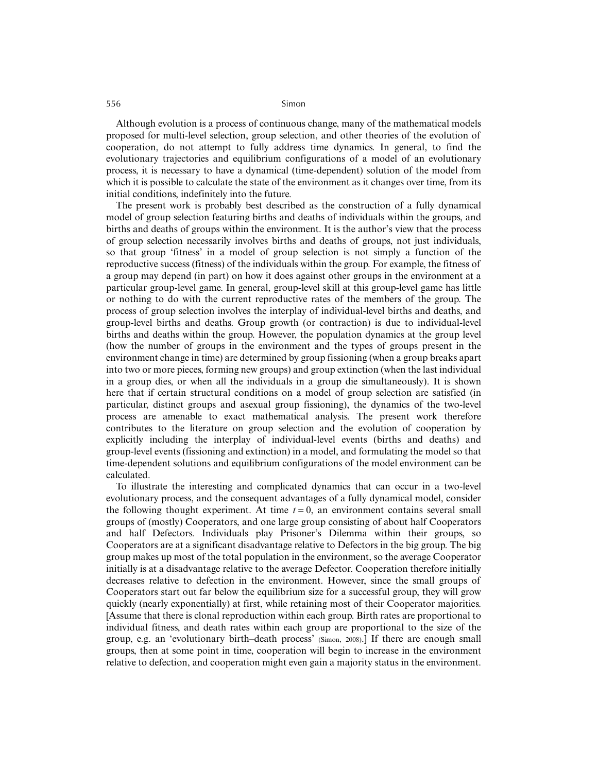Although evolution is a process of continuous change, many of the mathematical models proposed for multi-level selection, group selection, and other theories of the evolution of cooperation, do not attempt to fully address time dynamics. In general, to find the evolutionary trajectories and equilibrium configurations of a model of an evolutionary process, it is necessary to have a dynamical (time-dependent) solution of the model from which it is possible to calculate the state of the environment as it changes over time, from its initial conditions, indefinitely into the future.

The present work is probably best described as the construction of a fully dynamical model of group selection featuring births and deaths of individuals within the groups, and births and deaths of groups within the environment. It is the author's view that the process of group selection necessarily involves births and deaths of groups, not just individuals, so that group 'fitness' in a model of group selection is not simply a function of the reproductive success (fitness) of the individuals within the group. For example, the fitness of a group may depend (in part) on how it does against other groups in the environment at a particular group-level game. In general, group-level skill at this group-level game has little or nothing to do with the current reproductive rates of the members of the group. The process of group selection involves the interplay of individual-level births and deaths, and group-level births and deaths. Group growth (or contraction) is due to individual-level births and deaths within the group. However, the population dynamics at the group level (how the number of groups in the environment and the types of groups present in the environment change in time) are determined by group fissioning (when a group breaks apart into two or more pieces, forming new groups) and group extinction (when the last individual in a group dies, or when all the individuals in a group die simultaneously). It is shown here that if certain structural conditions on a model of group selection are satisfied (in particular, distinct groups and asexual group fissioning), the dynamics of the two-level process are amenable to exact mathematical analysis. The present work therefore contributes to the literature on group selection and the evolution of cooperation by explicitly including the interplay of individual-level events (births and deaths) and group-level events (fissioning and extinction) in a model, and formulating the model so that time-dependent solutions and equilibrium configurations of the model environment can be calculated.

To illustrate the interesting and complicated dynamics that can occur in a two-level evolutionary process, and the consequent advantages of a fully dynamical model, consider the following thought experiment. At time  $t = 0$ , an environment contains several small groups of (mostly) Cooperators, and one large group consisting of about half Cooperators and half Defectors. Individuals play Prisoner's Dilemma within their groups, so Cooperators are at a significant disadvantage relative to Defectors in the big group. The big group makes up most of the total population in the environment, so the average Cooperator initially is at a disadvantage relative to the average Defector. Cooperation therefore initially decreases relative to defection in the environment. However, since the small groups of Cooperators start out far below the equilibrium size for a successful group, they will grow quickly (nearly exponentially) at first, while retaining most of their Cooperator majorities. [Assume that there is clonal reproduction within each group. Birth rates are proportional to individual fitness, and death rates within each group are proportional to the size of the group, e.g. an 'evolutionary birth–death process' (Simon, 2008).] If there are enough small groups, then at some point in time, cooperation will begin to increase in the environment relative to defection, and cooperation might even gain a majority status in the environment.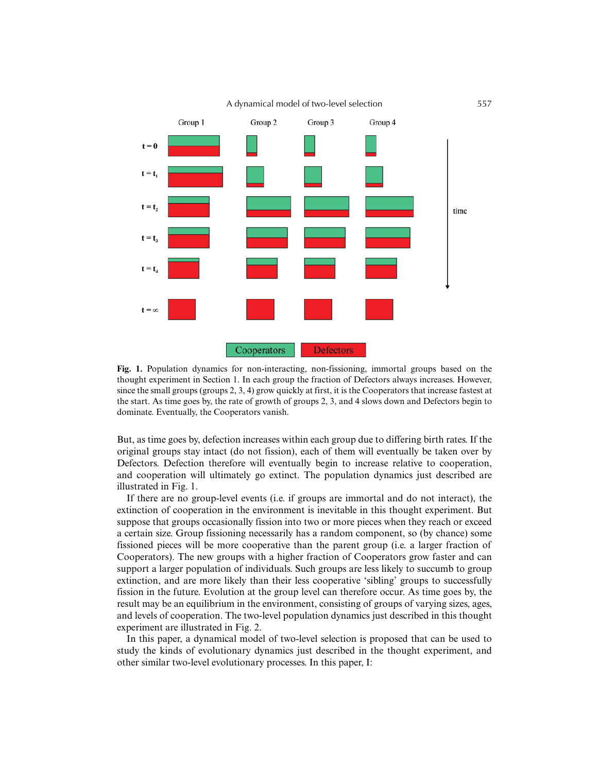

**Fig. 1.** Population dynamics for non-interacting, non-fissioning, immortal groups based on the thought experiment in Section 1. In each group the fraction of Defectors always increases. However, since the small groups (groups 2, 3, 4) grow quickly at first, it is the Cooperators that increase fastest at the start. As time goes by, the rate of growth of groups 2, 3, and 4 slows down and Defectors begin to dominate. Eventually, the Cooperators vanish.

But, as time goes by, defection increases within each group due to differing birth rates. If the original groups stay intact (do not fission), each of them will eventually be taken over by Defectors. Defection therefore will eventually begin to increase relative to cooperation, and cooperation will ultimately go extinct. The population dynamics just described are illustrated in Fig. 1.

If there are no group-level events (i.e. if groups are immortal and do not interact), the extinction of cooperation in the environment is inevitable in this thought experiment. But suppose that groups occasionally fission into two or more pieces when they reach or exceed a certain size. Group fissioning necessarily has a random component, so (by chance) some fissioned pieces will be more cooperative than the parent group (i.e. a larger fraction of Cooperators). The new groups with a higher fraction of Cooperators grow faster and can support a larger population of individuals. Such groups are less likely to succumb to group extinction, and are more likely than their less cooperative 'sibling' groups to successfully fission in the future. Evolution at the group level can therefore occur. As time goes by, the result may be an equilibrium in the environment, consisting of groups of varying sizes, ages, and levels of cooperation. The two-level population dynamics just described in this thought experiment are illustrated in Fig. 2.

In this paper, a dynamical model of two-level selection is proposed that can be used to study the kinds of evolutionary dynamics just described in the thought experiment, and other similar two-level evolutionary processes. In this paper, I: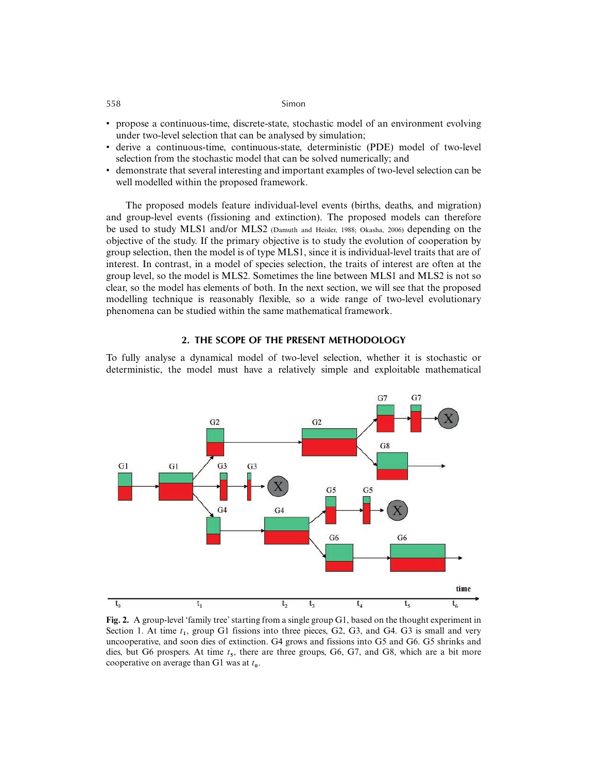- propose a continuous-time, discrete-state, stochastic model of an environment evolving under two-level selection that can be analysed by simulation;
- derive a continuous-time, continuous-state, deterministic (PDE) model of two-level selection from the stochastic model that can be solved numerically; and
- demonstrate that several interesting and important examples of two-level selection can be well modelled within the proposed framework.

The proposed models feature individual-level events (births, deaths, and migration) and group-level events (fissioning and extinction). The proposed models can therefore be used to study MLS1 and/or MLS2 (Damuth and Heisler, 1988; Okasha, 2006) depending on the objective of the study. If the primary objective is to study the evolution of cooperation by group selection, then the model is of type MLS1, since it is individual-level traits that are of interest. In contrast, in a model of species selection, the traits of interest are often at the group level, so the model is MLS2. Sometimes the line between MLS1 and MLS2 is not so clear, so the model has elements of both. In the next section, we will see that the proposed modelling technique is reasonably flexible, so a wide range of two-level evolutionary phenomena can be studied within the same mathematical framework.

### **2. THE SCOPE OF THE PRESENT METHODOLOGY**

To fully analyse a dynamical model of two-level selection, whether it is stochastic or deterministic, the model must have a relatively simple and exploitable mathematical



**Fig. 2.** A group-level 'family tree' starting from a single group G1, based on the thought experiment in Section 1. At time  $t_1$ , group G1 fissions into three pieces, G2, G3, and G4. G3 is small and very uncooperative, and soon dies of extinction. G4 grows and fissions into G5 and G6. G5 shrinks and dies, but G6 prospers. At time *t***5**, there are three groups, G6, G7, and G8, which are a bit more cooperative on average than G1 was at *t***0**.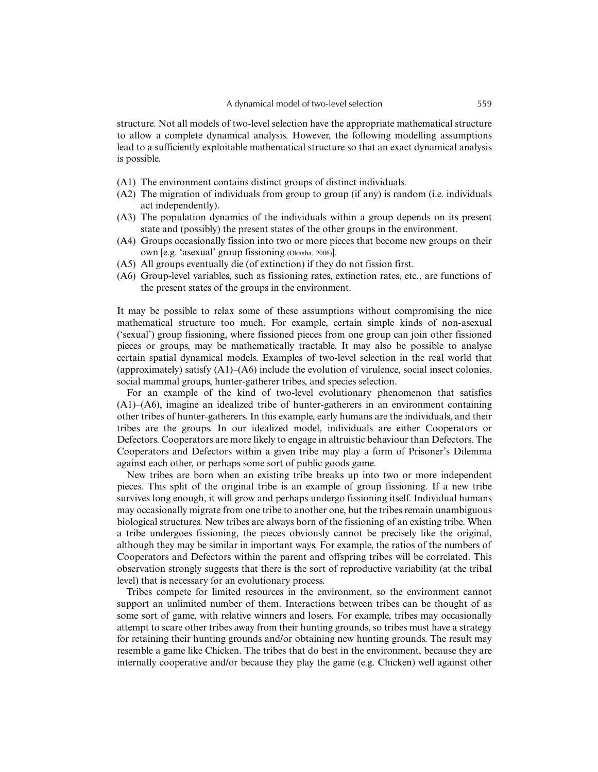structure. Not all models of two-level selection have the appropriate mathematical structure to allow a complete dynamical analysis. However, the following modelling assumptions lead to a sufficiently exploitable mathematical structure so that an exact dynamical analysis is possible.

- (A1) The environment contains distinct groups of distinct individuals.
- (A2) The migration of individuals from group to group (if any) is random (i.e. individuals act independently).
- (A3) The population dynamics of the individuals within a group depends on its present state and (possibly) the present states of the other groups in the environment.
- (A4) Groups occasionally fission into two or more pieces that become new groups on their own [e.g. 'asexual' group fissioning (Okasha, 2006)].
- (A5) All groups eventually die (of extinction) if they do not fission first.
- (A6) Group-level variables, such as fissioning rates, extinction rates, etc., are functions of the present states of the groups in the environment.

It may be possible to relax some of these assumptions without compromising the nice mathematical structure too much. For example, certain simple kinds of non-asexual ('sexual') group fissioning, where fissioned pieces from one group can join other fissioned pieces or groups, may be mathematically tractable. It may also be possible to analyse certain spatial dynamical models. Examples of two-level selection in the real world that (approximately) satisfy  $(A1)$ – $(A6)$  include the evolution of virulence, social insect colonies, social mammal groups, hunter-gatherer tribes, and species selection.

For an example of the kind of two-level evolutionary phenomenon that satisfies (A1)–(A6), imagine an idealized tribe of hunter-gatherers in an environment containing other tribes of hunter-gatherers. In this example, early humans are the individuals, and their tribes are the groups. In our idealized model, individuals are either Cooperators or Defectors. Cooperators are more likely to engage in altruistic behaviour than Defectors. The Cooperators and Defectors within a given tribe may play a form of Prisoner's Dilemma against each other, or perhaps some sort of public goods game.

New tribes are born when an existing tribe breaks up into two or more independent pieces. This split of the original tribe is an example of group fissioning. If a new tribe survives long enough, it will grow and perhaps undergo fissioning itself. Individual humans may occasionally migrate from one tribe to another one, but the tribes remain unambiguous biological structures. New tribes are always born of the fissioning of an existing tribe. When a tribe undergoes fissioning, the pieces obviously cannot be precisely like the original, although they may be similar in important ways. For example, the ratios of the numbers of Cooperators and Defectors within the parent and offspring tribes will be correlated. This observation strongly suggests that there is the sort of reproductive variability (at the tribal level) that is necessary for an evolutionary process.

Tribes compete for limited resources in the environment, so the environment cannot support an unlimited number of them. Interactions between tribes can be thought of as some sort of game, with relative winners and losers. For example, tribes may occasionally attempt to scare other tribes away from their hunting grounds, so tribes must have a strategy for retaining their hunting grounds and/or obtaining new hunting grounds. The result may resemble a game like Chicken. The tribes that do best in the environment, because they are internally cooperative and/or because they play the game (e.g. Chicken) well against other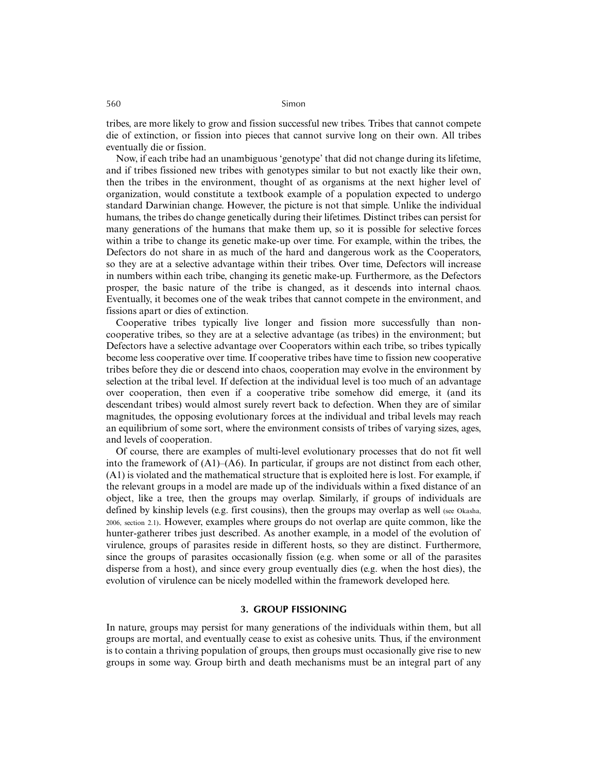tribes, are more likely to grow and fission successful new tribes. Tribes that cannot compete die of extinction, or fission into pieces that cannot survive long on their own. All tribes eventually die or fission.

Now, if each tribe had an unambiguous 'genotype' that did not change during its lifetime, and if tribes fissioned new tribes with genotypes similar to but not exactly like their own, then the tribes in the environment, thought of as organisms at the next higher level of organization, would constitute a textbook example of a population expected to undergo standard Darwinian change. However, the picture is not that simple. Unlike the individual humans, the tribes do change genetically during their lifetimes. Distinct tribes can persist for many generations of the humans that make them up, so it is possible for selective forces within a tribe to change its genetic make-up over time. For example, within the tribes, the Defectors do not share in as much of the hard and dangerous work as the Cooperators, so they are at a selective advantage within their tribes. Over time, Defectors will increase in numbers within each tribe, changing its genetic make-up. Furthermore, as the Defectors prosper, the basic nature of the tribe is changed, as it descends into internal chaos. Eventually, it becomes one of the weak tribes that cannot compete in the environment, and fissions apart or dies of extinction.

Cooperative tribes typically live longer and fission more successfully than noncooperative tribes, so they are at a selective advantage (as tribes) in the environment; but Defectors have a selective advantage over Cooperators within each tribe, so tribes typically become less cooperative over time. If cooperative tribes have time to fission new cooperative tribes before they die or descend into chaos, cooperation may evolve in the environment by selection at the tribal level. If defection at the individual level is too much of an advantage over cooperation, then even if a cooperative tribe somehow did emerge, it (and its descendant tribes) would almost surely revert back to defection. When they are of similar magnitudes, the opposing evolutionary forces at the individual and tribal levels may reach an equilibrium of some sort, where the environment consists of tribes of varying sizes, ages, and levels of cooperation.

Of course, there are examples of multi-level evolutionary processes that do not fit well into the framework of  $(A1)$ – $(A6)$ . In particular, if groups are not distinct from each other, (A1) is violated and the mathematical structure that is exploited here is lost. For example, if the relevant groups in a model are made up of the individuals within a fixed distance of an object, like a tree, then the groups may overlap. Similarly, if groups of individuals are defined by kinship levels (e.g. first cousins), then the groups may overlap as well (see Okasha, 2006, section 2.1). However, examples where groups do not overlap are quite common, like the hunter-gatherer tribes just described. As another example, in a model of the evolution of virulence, groups of parasites reside in different hosts, so they are distinct. Furthermore, since the groups of parasites occasionally fission (e.g. when some or all of the parasites disperse from a host), and since every group eventually dies (e.g. when the host dies), the evolution of virulence can be nicely modelled within the framework developed here.

#### **3. GROUP FISSIONING**

In nature, groups may persist for many generations of the individuals within them, but all groups are mortal, and eventually cease to exist as cohesive units. Thus, if the environment is to contain a thriving population of groups, then groups must occasionally give rise to new groups in some way. Group birth and death mechanisms must be an integral part of any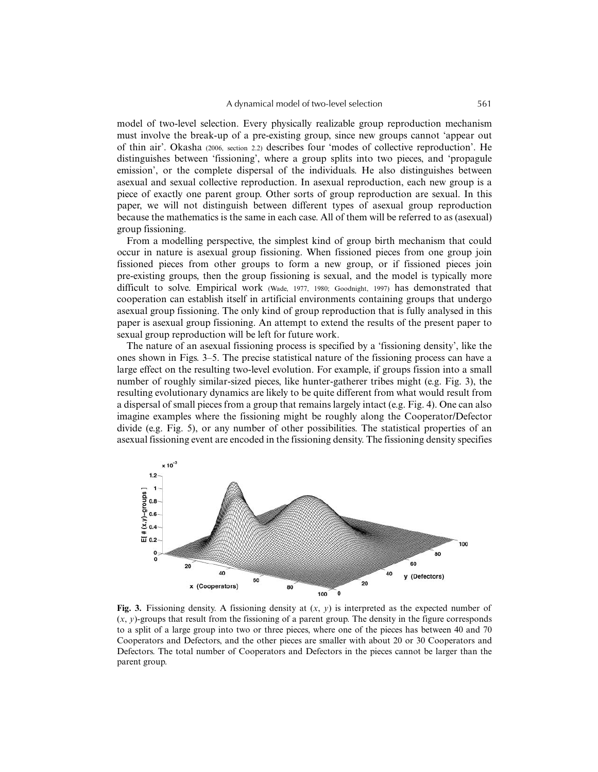model of two-level selection. Every physically realizable group reproduction mechanism must involve the break-up of a pre-existing group, since new groups cannot 'appear out of thin air'. Okasha (2006, section 2.2) describes four 'modes of collective reproduction'. He distinguishes between 'fissioning', where a group splits into two pieces, and 'propagule emission', or the complete dispersal of the individuals. He also distinguishes between asexual and sexual collective reproduction. In asexual reproduction, each new group is a piece of exactly one parent group. Other sorts of group reproduction are sexual. In this paper, we will not distinguish between different types of asexual group reproduction because the mathematics is the same in each case. All of them will be referred to as (asexual) group fissioning.

From a modelling perspective, the simplest kind of group birth mechanism that could occur in nature is asexual group fissioning. When fissioned pieces from one group join fissioned pieces from other groups to form a new group, or if fissioned pieces join pre-existing groups, then the group fissioning is sexual, and the model is typically more difficult to solve. Empirical work (Wade, 1977, 1980; Goodnight, 1997) has demonstrated that cooperation can establish itself in artificial environments containing groups that undergo asexual group fissioning. The only kind of group reproduction that is fully analysed in this paper is asexual group fissioning. An attempt to extend the results of the present paper to sexual group reproduction will be left for future work.

The nature of an asexual fissioning process is specified by a 'fissioning density', like the ones shown in Figs. 3–5. The precise statistical nature of the fissioning process can have a large effect on the resulting two-level evolution. For example, if groups fission into a small number of roughly similar-sized pieces, like hunter-gatherer tribes might (e.g. Fig. 3), the resulting evolutionary dynamics are likely to be quite different from what would result from a dispersal of small pieces from a group that remains largely intact (e.g. Fig. 4). One can also imagine examples where the fissioning might be roughly along the Cooperator/Defector divide (e.g. Fig. 5), or any number of other possibilities. The statistical properties of an asexual fissioning event are encoded in the fissioning density. The fissioning density specifies



**Fig. 3.** Fissioning density. A fissioning density at  $(x, y)$  is interpreted as the expected number of  $(x, y)$ -groups that result from the fissioning of a parent group. The density in the figure corresponds to a split of a large group into two or three pieces, where one of the pieces has between 40 and 70 Cooperators and Defectors, and the other pieces are smaller with about 20 or 30 Cooperators and Defectors. The total number of Cooperators and Defectors in the pieces cannot be larger than the parent group.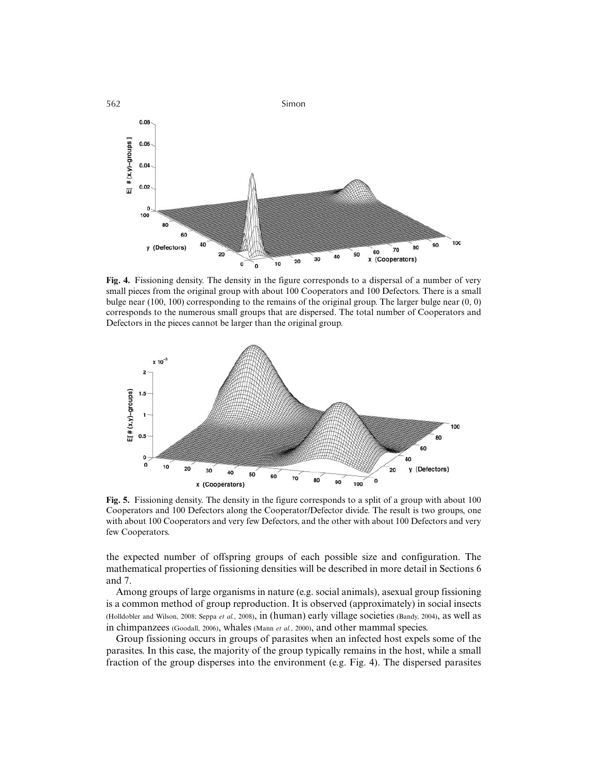

**Fig. 4.** Fissioning density. The density in the figure corresponds to a dispersal of a number of very small pieces from the original group with about 100 Cooperators and 100 Defectors. There is a small bulge near (100, 100) corresponding to the remains of the original group. The larger bulge near (0, 0) corresponds to the numerous small groups that are dispersed. The total number of Cooperators and Defectors in the pieces cannot be larger than the original group.



**Fig. 5.** Fissioning density. The density in the figure corresponds to a split of a group with about 100 Cooperators and 100 Defectors along the Cooperator/Defector divide. The result is two groups, one with about 100 Cooperators and very few Defectors, and the other with about 100 Defectors and very few Cooperators.

the expected number of offspring groups of each possible size and configuration. The mathematical properties of fissioning densities will be described in more detail in Sections 6 and 7.

Among groups of large organisms in nature (e.g. social animals), asexual group fissioning is a common method of group reproduction. It is observed (approximately) in social insects (Holldobler and Wilson, 2008; Seppa *et al.*, 2008), in (human) early village societies (Bandy, 2004), as well as in chimpanzees (Goodall, 2006), whales (Mann *et al.*, 2000), and other mammal species.

Group fissioning occurs in groups of parasites when an infected host expels some of the parasites. In this case, the majority of the group typically remains in the host, while a small fraction of the group disperses into the environment (e.g. Fig. 4). The dispersed parasites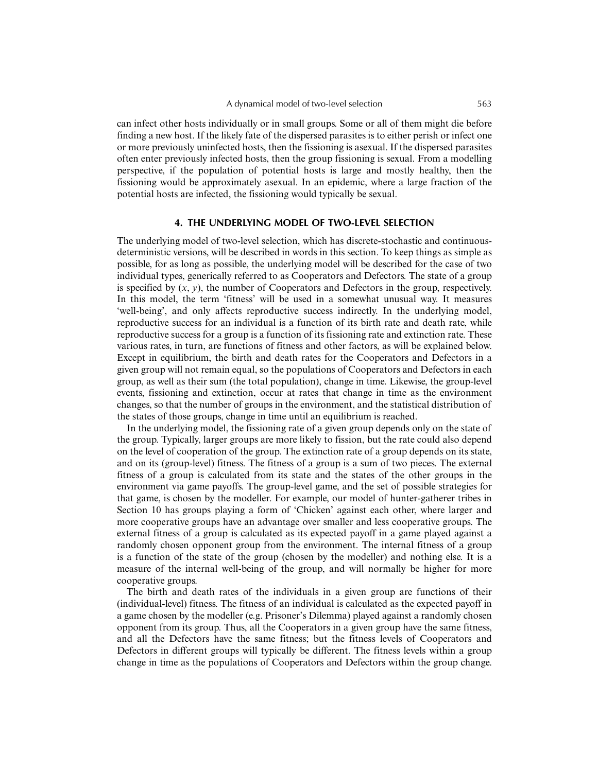can infect other hosts individually or in small groups. Some or all of them might die before finding a new host. If the likely fate of the dispersed parasites is to either perish or infect one or more previously uninfected hosts, then the fissioning is asexual. If the dispersed parasites often enter previously infected hosts, then the group fissioning is sexual. From a modelling perspective, if the population of potential hosts is large and mostly healthy, then the fissioning would be approximately asexual. In an epidemic, where a large fraction of the potential hosts are infected, the fissioning would typically be sexual.

## **4. THE UNDERLYING MODEL OF TWO-LEVEL SELECTION**

The underlying model of two-level selection, which has discrete-stochastic and continuousdeterministic versions, will be described in words in this section. To keep things as simple as possible, for as long as possible, the underlying model will be described for the case of two individual types, generically referred to as Cooperators and Defectors. The state of a group is specified by  $(x, y)$ , the number of Cooperators and Defectors in the group, respectively. In this model, the term 'fitness' will be used in a somewhat unusual way. It measures 'well-being', and only affects reproductive success indirectly. In the underlying model, reproductive success for an individual is a function of its birth rate and death rate, while reproductive success for a group is a function of its fissioning rate and extinction rate. These various rates, in turn, are functions of fitness and other factors, as will be explained below. Except in equilibrium, the birth and death rates for the Cooperators and Defectors in a given group will not remain equal, so the populations of Cooperators and Defectors in each group, as well as their sum (the total population), change in time. Likewise, the group-level events, fissioning and extinction, occur at rates that change in time as the environment changes, so that the number of groups in the environment, and the statistical distribution of the states of those groups, change in time until an equilibrium is reached.

In the underlying model, the fissioning rate of a given group depends only on the state of the group. Typically, larger groups are more likely to fission, but the rate could also depend on the level of cooperation of the group. The extinction rate of a group depends on its state, and on its (group-level) fitness. The fitness of a group is a sum of two pieces. The external fitness of a group is calculated from its state and the states of the other groups in the environment via game payoffs. The group-level game, and the set of possible strategies for that game, is chosen by the modeller. For example, our model of hunter-gatherer tribes in Section 10 has groups playing a form of 'Chicken' against each other, where larger and more cooperative groups have an advantage over smaller and less cooperative groups. The external fitness of a group is calculated as its expected payoff in a game played against a randomly chosen opponent group from the environment. The internal fitness of a group is a function of the state of the group (chosen by the modeller) and nothing else. It is a measure of the internal well-being of the group, and will normally be higher for more cooperative groups.

The birth and death rates of the individuals in a given group are functions of their (individual-level) fitness. The fitness of an individual is calculated as the expected payoff in a game chosen by the modeller (e.g. Prisoner's Dilemma) played against a randomly chosen opponent from its group. Thus, all the Cooperators in a given group have the same fitness, and all the Defectors have the same fitness; but the fitness levels of Cooperators and Defectors in different groups will typically be different. The fitness levels within a group change in time as the populations of Cooperators and Defectors within the group change.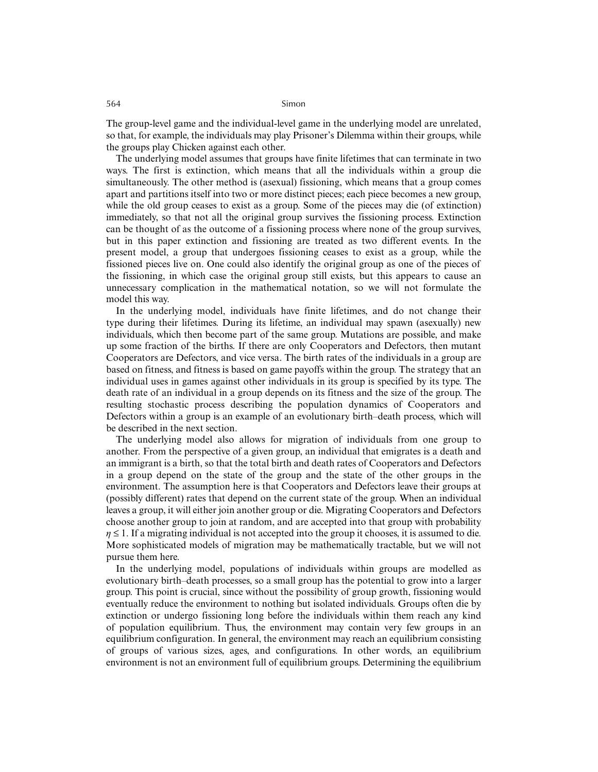The group-level game and the individual-level game in the underlying model are unrelated, so that, for example, the individuals may play Prisoner's Dilemma within their groups, while the groups play Chicken against each other.

The underlying model assumes that groups have finite lifetimes that can terminate in two ways. The first is extinction, which means that all the individuals within a group die simultaneously. The other method is (asexual) fissioning, which means that a group comes apart and partitions itself into two or more distinct pieces; each piece becomes a new group, while the old group ceases to exist as a group. Some of the pieces may die (of extinction) immediately, so that not all the original group survives the fissioning process. Extinction can be thought of as the outcome of a fissioning process where none of the group survives, but in this paper extinction and fissioning are treated as two different events. In the present model, a group that undergoes fissioning ceases to exist as a group, while the fissioned pieces live on. One could also identify the original group as one of the pieces of the fissioning, in which case the original group still exists, but this appears to cause an unnecessary complication in the mathematical notation, so we will not formulate the model this way.

In the underlying model, individuals have finite lifetimes, and do not change their type during their lifetimes. During its lifetime, an individual may spawn (asexually) new individuals, which then become part of the same group. Mutations are possible, and make up some fraction of the births. If there are only Cooperators and Defectors, then mutant Cooperators are Defectors, and vice versa. The birth rates of the individuals in a group are based on fitness, and fitness is based on game payoffs within the group. The strategy that an individual uses in games against other individuals in its group is specified by its type. The death rate of an individual in a group depends on its fitness and the size of the group. The resulting stochastic process describing the population dynamics of Cooperators and Defectors within a group is an example of an evolutionary birth–death process, which will be described in the next section.

The underlying model also allows for migration of individuals from one group to another. From the perspective of a given group, an individual that emigrates is a death and an immigrant is a birth, so that the total birth and death rates of Cooperators and Defectors in a group depend on the state of the group and the state of the other groups in the environment. The assumption here is that Cooperators and Defectors leave their groups at (possibly different) rates that depend on the current state of the group. When an individual leaves a group, it will either join another group or die. Migrating Cooperators and Defectors choose another group to join at random, and are accepted into that group with probability  $\eta \leq 1$ . If a migrating individual is not accepted into the group it chooses, it is assumed to die. More sophisticated models of migration may be mathematically tractable, but we will not pursue them here.

In the underlying model, populations of individuals within groups are modelled as evolutionary birth–death processes, so a small group has the potential to grow into a larger group. This point is crucial, since without the possibility of group growth, fissioning would eventually reduce the environment to nothing but isolated individuals. Groups often die by extinction or undergo fissioning long before the individuals within them reach any kind of population equilibrium. Thus, the environment may contain very few groups in an equilibrium configuration. In general, the environment may reach an equilibrium consisting of groups of various sizes, ages, and configurations. In other words, an equilibrium environment is not an environment full of equilibrium groups. Determining the equilibrium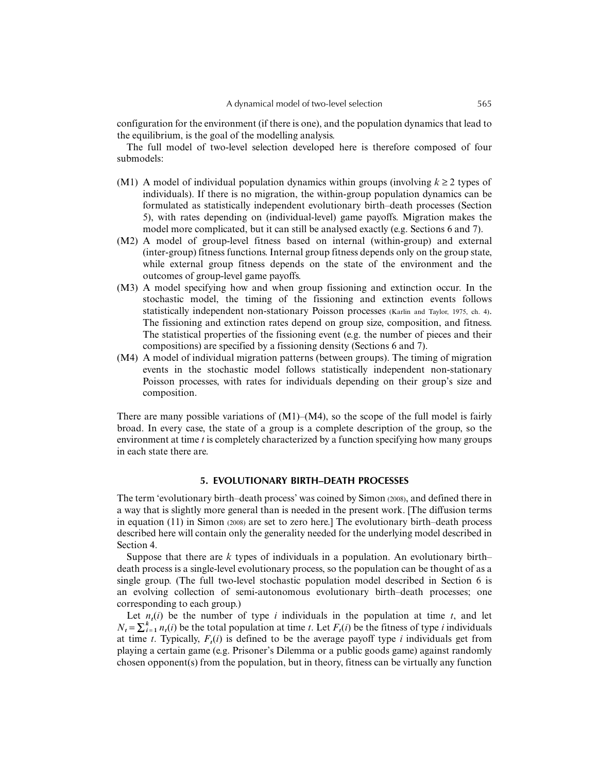configuration for the environment (if there is one), and the population dynamics that lead to the equilibrium, is the goal of the modelling analysis.

The full model of two-level selection developed here is therefore composed of four submodels:

- (M1) A model of individual population dynamics within groups (involving  $k \ge 2$  types of individuals). If there is no migration, the within-group population dynamics can be formulated as statistically independent evolutionary birth–death processes (Section 5), with rates depending on (individual-level) game payoffs. Migration makes the model more complicated, but it can still be analysed exactly (e.g. Sections 6 and 7).
- (M2) A model of group-level fitness based on internal (within-group) and external (inter-group) fitness functions. Internal group fitness depends only on the group state, while external group fitness depends on the state of the environment and the outcomes of group-level game payoffs.
- (M3) A model specifying how and when group fissioning and extinction occur. In the stochastic model, the timing of the fissioning and extinction events follows statistically independent non-stationary Poisson processes (Karlin and Taylor, 1975, ch. 4). The fissioning and extinction rates depend on group size, composition, and fitness. The statistical properties of the fissioning event (e.g. the number of pieces and their compositions) are specified by a fissioning density (Sections 6 and 7).
- (M4) A model of individual migration patterns (between groups). The timing of migration events in the stochastic model follows statistically independent non-stationary Poisson processes, with rates for individuals depending on their group's size and composition.

There are many possible variations of  $(M1)–(M4)$ , so the scope of the full model is fairly broad. In every case, the state of a group is a complete description of the group, so the environment at time *t* is completely characterized by a function specifying how many groups in each state there are.

#### **5. EVOLUTIONARY BIRTH–DEATH PROCESSES**

The term 'evolutionary birth–death process' was coined by Simon (2008), and defined there in a way that is slightly more general than is needed in the present work. [The diffusion terms in equation (11) in Simon (2008) are set to zero here.] The evolutionary birth–death process described here will contain only the generality needed for the underlying model described in Section 4.

Suppose that there are *k* types of individuals in a population. An evolutionary birth– death process is a single-level evolutionary process, so the population can be thought of as a single group. (The full two-level stochastic population model described in Section 6 is an evolving collection of semi-autonomous evolutionary birth–death processes; one corresponding to each group.)

Let  $n<sub>t</sub>(i)$  be the number of type *i* individuals in the population at time *t*, and let  $N_t = \sum_{i=1}^k n_t(i)$  be the total population at time *t*. Let  $F_t(i)$  be the fitness of type *i* individuals at time *t*. Typically,  $F_t(i)$  is defined to be the average payoff type *i* individuals get from playing a certain game (e.g. Prisoner's Dilemma or a public goods game) against randomly chosen opponent(s) from the population, but in theory, fitness can be virtually any function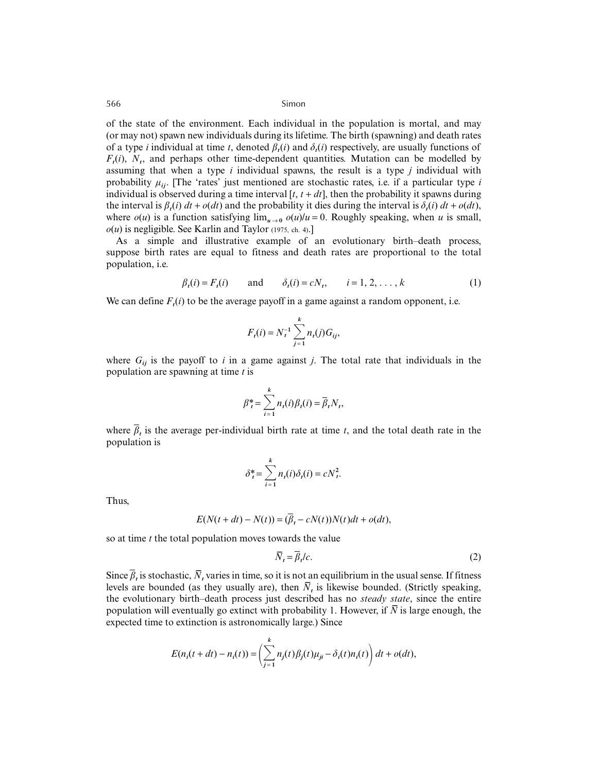of the state of the environment. Each individual in the population is mortal, and may (or may not) spawn new individuals during its lifetime. The birth (spawning) and death rates of a type *i* individual at time *t*, denoted  $\beta_i(i)$  and  $\delta_i(i)$  respectively, are usually functions of  $F_t(i)$ ,  $N_t$ , and perhaps other time-dependent quantities. Mutation can be modelled by assuming that when a type *i* individual spawns, the result is a type *j* individual with probability  $\mu_{ii}$ . [The 'rates' just mentioned are stochastic rates, i.e. if a particular type *i* individual is observed during a time interval  $[t, t + dt]$ , then the probability it spawns during the interval is  $\beta_i(i) dt + o(dt)$  and the probability it dies during the interval is  $\delta_i(i) dt + o(dt)$ , where  $o(u)$  is a function satisfying  $\lim_{u\to 0} o(u)/u = 0$ . Roughly speaking, when *u* is small,  $o(u)$  is negligible. See Karlin and Taylor (1975, ch. 4).]

As a simple and illustrative example of an evolutionary birth–death process, suppose birth rates are equal to fitness and death rates are proportional to the total population, i.e.

$$
\beta_t(i) = F_t(i)
$$
 and  $\delta_t(i) = cN_t$ ,  $i = 1, 2, ..., k$  (1)

We can define  $F_{\ell}(i)$  to be the average payoff in a game against a random opponent, i.e.

$$
F_t(i) = N_t^{-1} \sum_{j=1}^k n_t(j) G_{ij},
$$

where  $G_{ii}$  is the payoff to *i* in a game against *j*. The total rate that individuals in the population are spawning at time *t* is

$$
\beta_t^* = \sum_{i=1}^k n_i(i)\beta_i(i) = \overline{\beta}_t N_t,
$$

where  $\bar{\beta}$ , is the average per-individual birth rate at time *t*, and the total death rate in the population is

$$
\delta_t^* = \sum_{i=1}^k n_i(i)\delta_i(i) = cN_t^2.
$$

Thus,

$$
E(N(t+dt) - N(t)) = (\beta_t - cN(t))N(t)dt + o(dt),
$$

so at time *t* the total population moves towards the value

$$
\overline{N}_t = \overline{\beta}_t/c. \tag{2}
$$

Since  $\bar{\beta}$ , is stochastic,  $\bar{N}$ , varies in time, so it is not an equilibrium in the usual sense. If fitness levels are bounded (as they usually are), then  $\overline{N}$ *t* is likewise bounded. (Strictly speaking, the evolutionary birth–death process just described has no *steady state*, since the entire population will eventually go extinct with probability 1. However, if  $\overline{N}$  is large enough, the expected time to extinction is astronomically large.) Since

$$
E(n_i(t+dt) - n_i(t)) = \left(\sum_{j=1}^k n_j(t)\beta_j(t)\mu_{ji} - \delta_i(t)n_i(t)\right)dt + o(dt),
$$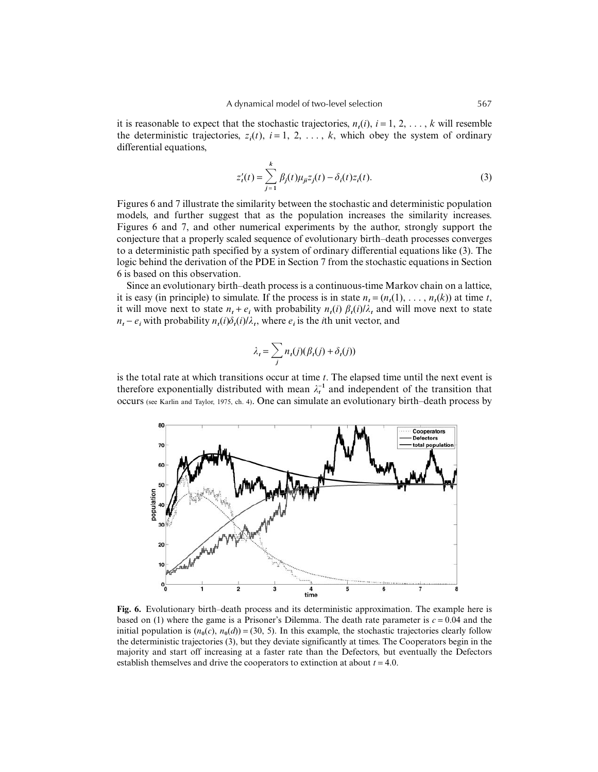it is reasonable to expect that the stochastic trajectories,  $n(i)$ ,  $i = 1, 2, \ldots, k$  will resemble the deterministic trajectories,  $z_i(t)$ ,  $i = 1, 2, \ldots, k$ , which obey the system of ordinary differential equations,

$$
z'_{t}(t) = \sum_{j=1}^{k} \beta_{j}(t) \mu_{ji} z_{j}(t) - \delta_{i}(t) z_{i}(t).
$$
 (3)

Figures 6 and 7 illustrate the similarity between the stochastic and deterministic population models, and further suggest that as the population increases the similarity increases. Figures 6 and 7, and other numerical experiments by the author, strongly support the conjecture that a properly scaled sequence of evolutionary birth–death processes converges to a deterministic path specified by a system of ordinary differential equations like (3). The logic behind the derivation of the PDE in Section 7 from the stochastic equations in Section 6 is based on this observation.

Since an evolutionary birth–death process is a continuous-time Markov chain on a lattice, it is easy (in principle) to simulate. If the process is in state  $n_t = (n_t(1), \ldots, n_t(k))$  at time *t*, it will move next to state  $n_t + e_i$  with probability  $n_t(i) \beta_t(i)/\lambda_t$  and will move next to state  $n_t - e_i$  with probability  $n_t(i)\delta_t(i)/\lambda_t$ , where  $e_i$  is the *i*th unit vector, and

$$
\lambda_t = \sum_j n_t(j)(\beta_t(j) + \delta_t(j))
$$

is the total rate at which transitions occur at time *t*. The elapsed time until the next event is therefore exponentially distributed with mean  $\lambda_t^{-1}$  and independent of the transition that occurs (see Karlin and Taylor, 1975, ch. 4). One can simulate an evolutionary birth–death process by



**Fig. 6.** Evolutionary birth–death process and its deterministic approximation. The example here is based on (1) where the game is a Prisoner's Dilemma. The death rate parameter is  $c = 0.04$  and the initial population is  $(n_0(c), n_0(d)) = (30, 5)$ . In this example, the stochastic trajectories clearly follow the deterministic trajectories (3), but they deviate significantly at times. The Cooperators begin in the majority and start off increasing at a faster rate than the Defectors, but eventually the Defectors establish themselves and drive the cooperators to extinction at about  $t = 4.0$ .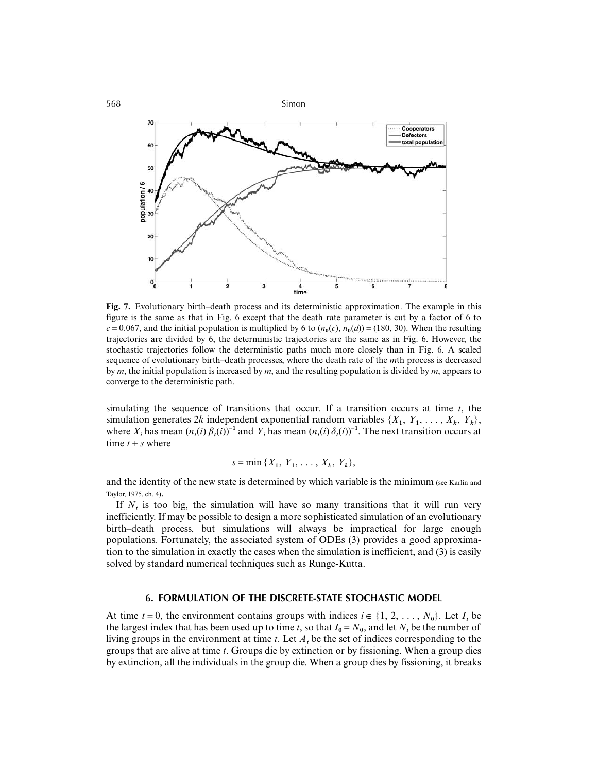

**Fig. 7.** Evolutionary birth–death process and its deterministic approximation. The example in this figure is the same as that in Fig. 6 except that the death rate parameter is cut by a factor of 6 to  $c = 0.067$ , and the initial population is multiplied by 6 to  $(n_0(c), n_0(d)) = (180, 30)$ . When the resulting trajectories are divided by 6, the deterministic trajectories are the same as in Fig. 6. However, the stochastic trajectories follow the deterministic paths much more closely than in Fig. 6. A scaled sequence of evolutionary birth–death processes, where the death rate of the *m*th process is decreased by *m*, the initial population is increased by *m*, and the resulting population is divided by *m*, appears to converge to the deterministic path.

simulating the sequence of transitions that occur. If a transition occurs at time *t*, the simulation generates 2*k* independent exponential random variables  $\{X_1, Y_1, \ldots, X_k, Y_k\}$ , where  $X_i$  has mean  $(n_t(i) \beta_t(i))^{-1}$  and  $Y_i$  has mean  $(n_t(i) \delta_t(i))^{-1}$ . The next transition occurs at time  $t + s$  where

$$
s = \min \{X_1, Y_1, \ldots, X_k, Y_k\},\
$$

and the identity of the new state is determined by which variable is the minimum (see Karlin and Taylor, 1975, ch. 4).

If  $N_t$  is too big, the simulation will have so many transitions that it will run very inefficiently. If may be possible to design a more sophisticated simulation of an evolutionary birth–death process, but simulations will always be impractical for large enough populations. Fortunately, the associated system of ODEs (3) provides a good approximation to the simulation in exactly the cases when the simulation is inefficient, and (3) is easily solved by standard numerical techniques such as Runge-Kutta.

## **6. FORMULATION OF THE DISCRETE-STATE STOCHASTIC MODEL**

At time  $t = 0$ , the environment contains groups with indices  $i \in \{1, 2, \ldots, N_0\}$ . Let  $I_t$  be the largest index that has been used up to time *t*, so that  $I_0 = N_0$ , and let *N*, be the number of living groups in the environment at time *t*. Let *At* be the set of indices corresponding to the groups that are alive at time *t*. Groups die by extinction or by fissioning. When a group dies by extinction, all the individuals in the group die. When a group dies by fissioning, it breaks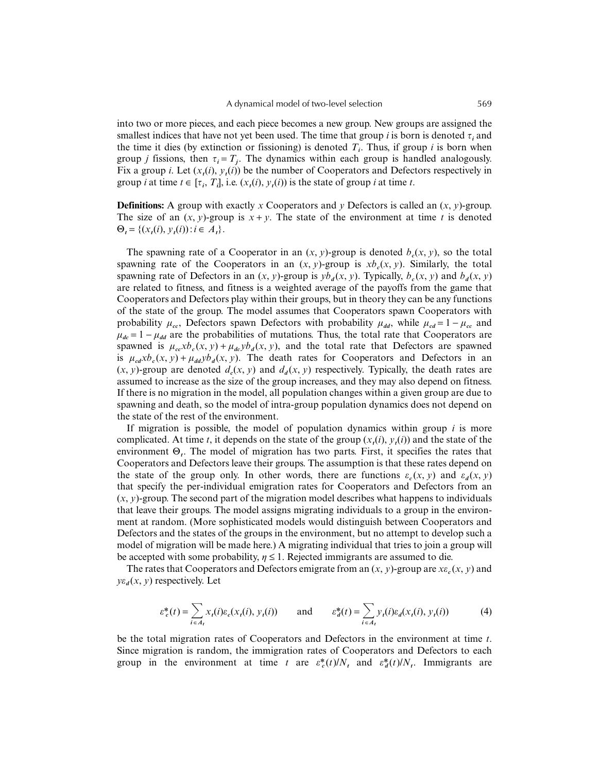into two or more pieces, and each piece becomes a new group. New groups are assigned the smallest indices that have not yet been used. The time that group  $i$  is born is denoted  $\tau_i$  and the time it dies (by extinction or fissioning) is denoted  $T_i$ . Thus, if group *i* is born when group *j* fissions, then  $\tau_i = T_i$ . The dynamics within each group is handled analogously. Fix a group *i*. Let  $(x_t(i), y_t(i))$  be the number of Cooperators and Defectors respectively in group *i* at time  $t \in [\tau_i, T_i]$ , i.e.  $(x_t(i), y_t(i))$  is the state of group *i* at time *t*.

**Definitions:** A group with exactly x Cooperators and *y* Defectors is called an  $(x, y)$ -group. The size of an  $(x, y)$ -group is  $x + y$ . The state of the environment at time *t* is denoted  $\Theta_t = \{(x_t(i), y_t(i)) : i \in A_t\}.$ 

The spawning rate of a Cooperator in an  $(x, y)$ -group is denoted  $b(x, y)$ , so the total spawning rate of the Cooperators in an  $(x, y)$ -group is  $xb_c(x, y)$ . Similarly, the total spawning rate of Defectors in an  $(x, y)$ -group is  $yb_d(x, y)$ . Typically,  $b_c(x, y)$  and  $b_d(x, y)$ are related to fitness, and fitness is a weighted average of the payoffs from the game that Cooperators and Defectors play within their groups, but in theory they can be any functions of the state of the group. The model assumes that Cooperators spawn Cooperators with probability  $\mu_{cc}$ , Defectors spawn Defectors with probability  $\mu_{dd}$ , while  $\mu_{cd} = 1 - \mu_{cc}$  and  $\mu_{dc} = 1 - \mu_{dd}$  are the probabilities of mutations. Thus, the total rate that Cooperators are spawned is  $\mu_{cc} x b_c(x, y) + \mu_{dc} y b_d(x, y)$ , and the total rate that Defectors are spawned is  $\mu_{cd}xb_c(x, y) + \mu_{dd}yb_d(x, y)$ . The death rates for Cooperators and Defectors in an  $(x, y)$ -group are denoted  $d_c(x, y)$  and  $d_d(x, y)$  respectively. Typically, the death rates are assumed to increase as the size of the group increases, and they may also depend on fitness. If there is no migration in the model, all population changes within a given group are due to spawning and death, so the model of intra-group population dynamics does not depend on the state of the rest of the environment.

If migration is possible, the model of population dynamics within group *i* is more complicated. At time *t*, it depends on the state of the group  $(x_t(i), y_t(i))$  and the state of the environment Θ*t*. The model of migration has two parts. First, it specifies the rates that Cooperators and Defectors leave their groups. The assumption is that these rates depend on the state of the group only. In other words, there are functions  $\varepsilon_c(x, y)$  and  $\varepsilon_d(x, y)$ that specify the per-individual emigration rates for Cooperators and Defectors from an  $(x, y)$ -group. The second part of the migration model describes what happens to individuals that leave their groups. The model assigns migrating individuals to a group in the environment at random. (More sophisticated models would distinguish between Cooperators and Defectors and the states of the groups in the environment, but no attempt to develop such a model of migration will be made here.) A migrating individual that tries to join a group will be accepted with some probability,  $\eta \leq 1$ . Rejected immigrants are assumed to die.

The rates that Cooperators and Defectors emigrate from an  $(x, y)$ -group are  $xe<sub>c</sub>(x, y)$  and  $ye_{d}(x, y)$  respectively. Let

$$
\varepsilon_c^*(t) = \sum_{i \in A_t} x_t(i) \varepsilon_c(x_t(i), y_t(i)) \quad \text{and} \quad \varepsilon_d^*(t) = \sum_{i \in A_t} y_t(i) \varepsilon_d(x_t(i), y_t(i)) \quad (4)
$$

be the total migration rates of Cooperators and Defectors in the environment at time *t*. Since migration is random, the immigration rates of Cooperators and Defectors to each group in the environment at time *t* are  $\varepsilon_c^*(t)/N_t$  and  $\varepsilon_d^*(t)/N_t$ . Immigrants are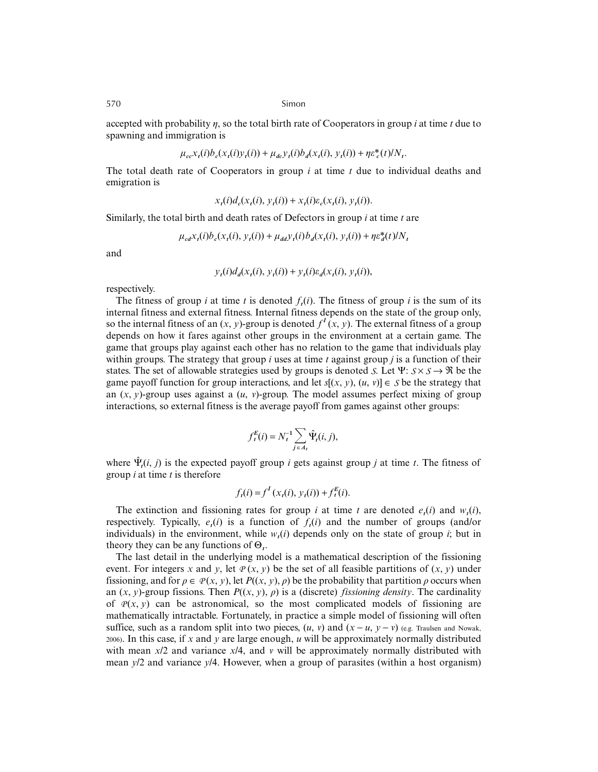accepted with probability η, so the total birth rate of Cooperators in group *i* at time *t* due to spawning and immigration is

$$
\mu_{cc} x_t(i) b_c(x_t(i) y_t(i)) + \mu_{dc} y_t(i) b_d(x_t(i), y_t(i)) + \eta \varepsilon_c^*(t) / N_t.
$$

The total death rate of Cooperators in group *i* at time *t* due to individual deaths and emigration is

$$
x_t(i)d_c(x_t(i), y_t(i)) + x_t(i)\varepsilon_c(x_t(i), y_t(i)).
$$

Similarly, the total birth and death rates of Defectors in group *i* at time *t* are

$$
\mu_{cd}x_t(i)b_c(x_t(i), y_t(i)) + \mu_{dd}y_t(i)b_d(x_t(i), y_t(i)) + \eta \varepsilon_d^*(t)/N_t
$$

and

$$
y_t(i)d_d(x_t(i), y_t(i)) + y_t(i)\varepsilon_d(x_t(i), y_t(i)),
$$

respectively.

The fitness of group *i* at time *t* is denoted  $f_i(i)$ . The fitness of group *i* is the sum of its internal fitness and external fitness. Internal fitness depends on the state of the group only, so the internal fitness of an  $(x, y)$ -group is denoted  $f^I(x, y)$ . The external fitness of a group depends on how it fares against other groups in the environment at a certain game. The game that groups play against each other has no relation to the game that individuals play within groups. The strategy that group *i* uses at time *t* against group *j* is a function of their states. The set of allowable strategies used by groups is denoted *S*. Let  $\Psi: S \times S \rightarrow \Re$  be the game payoff function for group interactions, and let  $s[(x, y), (u, v)] \in S$  be the strategy that an  $(x, y)$ -group uses against a  $(u, y)$ -group. The model assumes perfect mixing of group interactions, so external fitness is the average payoff from games against other groups:

$$
f_t^E(i) = N_t^{-1} \sum_{j \in A_t} \hat{\Psi}_t(i, j),
$$

where  $\hat{\Psi}_t(i, j)$  is the expected payoff group *i* gets against group *j* at time *t*. The fitness of group *i* at time *t* is therefore

$$
f_t(i) = f^I(x_t(i), y_t(i)) + f_t^E(i).
$$

The extinction and fissioning rates for group *i* at time *t* are denoted  $e_t(i)$  and  $w_t(i)$ , respectively. Typically,  $e_i(i)$  is a function of  $f_i(i)$  and the number of groups (and/or individuals) in the environment, while  $w_i(i)$  depends only on the state of group *i*; but in theory they can be any functions of Θ*t*.

The last detail in the underlying model is a mathematical description of the fissioning event. For integers *x* and *y*, let  $P(x, y)$  be the set of all feasible partitions of  $(x, y)$  under fissioning, and for  $\rho \in \mathcal{P}(x, y)$ , let  $P((x, y), \rho)$  be the probability that partition  $\rho$  occurs when an  $(x, y)$ -group fissions. Then  $P((x, y), \rho)$  is a (discrete) *fissioning density*. The cardinality of  $P(x, y)$  can be astronomical, so the most complicated models of fissioning are mathematically intractable. Fortunately, in practice a simple model of fissioning will often suffice, such as a random split into two pieces,  $(u, v)$  and  $(x - u, y - v)$  (e.g. Traulsen and Nowak, 2006). In this case, if *x* and *y* are large enough, *u* will be approximately normally distributed with mean *x*/2 and variance *x*/4, and *v* will be approximately normally distributed with mean *y*/2 and variance *y*/4. However, when a group of parasites (within a host organism)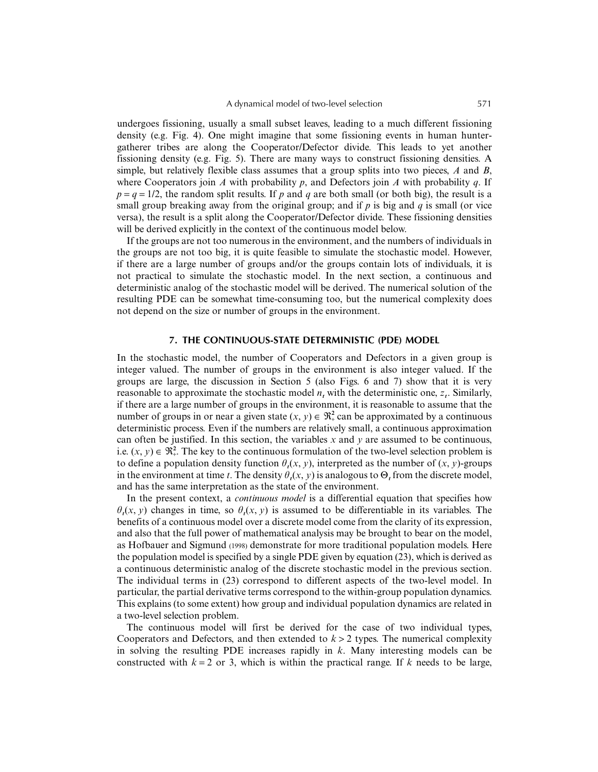undergoes fissioning, usually a small subset leaves, leading to a much different fissioning density (e.g. Fig. 4). One might imagine that some fissioning events in human huntergatherer tribes are along the Cooperator/Defector divide. This leads to yet another fissioning density (e.g. Fig. 5). There are many ways to construct fissioning densities. A simple, but relatively flexible class assumes that a group splits into two pieces, *A* and *B*, where Cooperators join *A* with probability *p*, and Defectors join *A* with probability *q*. If  $p = q = 1/2$ , the random split results. If p and q are both small (or both big), the result is a small group breaking away from the original group; and if *p* is big and *q* is small (or vice versa), the result is a split along the Cooperator/Defector divide. These fissioning densities will be derived explicitly in the context of the continuous model below.

If the groups are not too numerous in the environment, and the numbers of individuals in the groups are not too big, it is quite feasible to simulate the stochastic model. However, if there are a large number of groups and/or the groups contain lots of individuals, it is not practical to simulate the stochastic model. In the next section, a continuous and deterministic analog of the stochastic model will be derived. The numerical solution of the resulting PDE can be somewhat time-consuming too, but the numerical complexity does not depend on the size or number of groups in the environment.

## **7. THE CONTINUOUS-STATE DETERMINISTIC (PDE) MODEL**

In the stochastic model, the number of Cooperators and Defectors in a given group is integer valued. The number of groups in the environment is also integer valued. If the groups are large, the discussion in Section 5 (also Figs. 6 and 7) show that it is very reasonable to approximate the stochastic model  $n_t$  with the deterministic one,  $z_t$ . Similarly, if there are a large number of groups in the environment, it is reasonable to assume that the number of groups in or near a given state  $(x, y) \in \mathbb{R}^2$  can be approximated by a continuous deterministic process. Even if the numbers are relatively small, a continuous approximation can often be justified. In this section, the variables *x* and *y* are assumed to be continuous, i.e.  $(x, y) \in \mathbb{R}^2$ . The key to the continuous formulation of the two-level selection problem is to define a population density function  $\theta_t(x, y)$ , interpreted as the number of  $(x, y)$ -groups in the environment at time *t*. The density  $\theta_t(x, y)$  is analogous to  $\Theta$ , from the discrete model, and has the same interpretation as the state of the environment.

In the present context, a *continuous model* is a differential equation that specifies how  $\theta_t(x, y)$  changes in time, so  $\theta_t(x, y)$  is assumed to be differentiable in its variables. The benefits of a continuous model over a discrete model come from the clarity of its expression, and also that the full power of mathematical analysis may be brought to bear on the model, as Hofbauer and Sigmund (1998) demonstrate for more traditional population models. Here the population model is specified by a single PDE given by equation (23), which is derived as a continuous deterministic analog of the discrete stochastic model in the previous section. The individual terms in (23) correspond to different aspects of the two-level model. In particular, the partial derivative terms correspond to the within-group population dynamics. This explains (to some extent) how group and individual population dynamics are related in a two-level selection problem.

The continuous model will first be derived for the case of two individual types, Cooperators and Defectors, and then extended to  $k > 2$  types. The numerical complexity in solving the resulting PDE increases rapidly in *k*. Many interesting models can be constructed with  $k = 2$  or 3, which is within the practical range. If k needs to be large,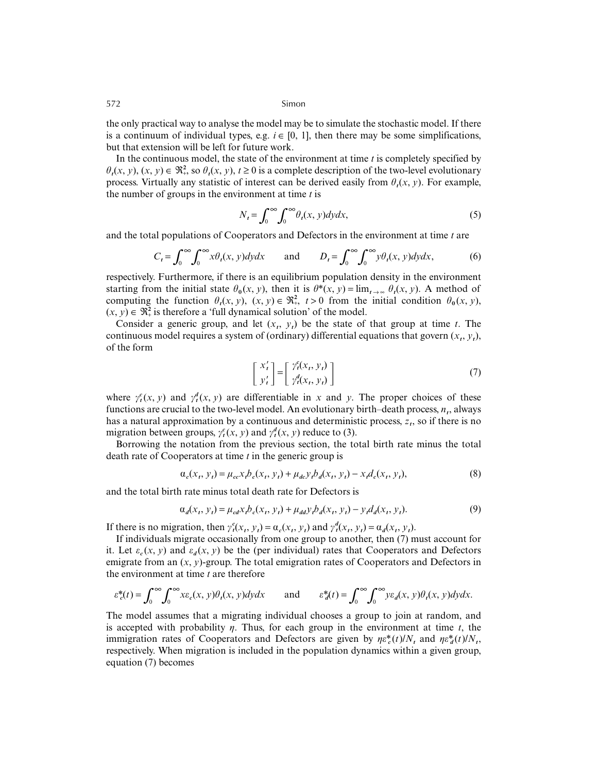the only practical way to analyse the model may be to simulate the stochastic model. If there is a continuum of individual types, e.g.  $i \in [0, 1]$ , then there may be some simplifications, but that extension will be left for future work.

In the continuous model, the state of the environment at time *t* is completely specified by  $\theta_t(x, y)$ ,  $(x, y) \in \Re^2$ , so  $\theta_t(x, y)$ ,  $t \ge 0$  is a complete description of the two-level evolutionary process. Virtually any statistic of interest can be derived easily from  $\theta$ *t*(*x*, *y*). For example, the number of groups in the environment at time *t* is

$$
N_t = \int_0^\infty \int_0^\infty \theta_t(x, y) dy dx,
$$
\n(5)

and the total populations of Cooperators and Defectors in the environment at time *t* are

$$
C_t = \int_0^\infty \int_0^\infty x \theta_t(x, y) dy dx \quad \text{and} \quad D_t = \int_0^\infty \int_0^\infty y \theta_t(x, y) dy dx, \tag{6}
$$

respectively. Furthermore, if there is an equilibrium population density in the environment starting from the initial state  $\theta_0(x, y)$ , then it is  $\theta^*(x, y) = \lim_{t \to \infty} \theta_t(x, y)$ . A method of computing the function  $\theta_t(x, y)$ ,  $(x, y) \in \mathbb{R}^2$ ,  $t > 0$  from the initial condition  $\theta_0(x, y)$ ,  $(x, y) \in \mathbb{R}^2$  is therefore a 'full dynamical solution' of the model.

Consider a generic group, and let  $(x_t, y_t)$  be the state of that group at time *t*. The continuous model requires a system of (ordinary) differential equations that govern  $(x_t, y_t)$ , of the form

$$
\begin{bmatrix} x'_t \\ y'_t \end{bmatrix} = \begin{bmatrix} \gamma_t^e(x_t, y_t) \\ \gamma_t^d(x_t, y_t) \end{bmatrix}
$$
 (7)

where  $\gamma_t^c(x, y)$  and  $\gamma_t^d(x, y)$  are differentiable in *x* and *y*. The proper choices of these functions are crucial to the two-level model. An evolutionary birth–death process,  $n_t$ , always has a natural approximation by a continuous and deterministic process, *zt*, so if there is no migration between groups,  $\gamma_t^c(x, y)$  and  $\gamma_t^d(x, y)$  reduce to (3).

Borrowing the notation from the previous section, the total birth rate minus the total death rate of Cooperators at time *t* in the generic group is

$$
\alpha_c(x_t, y_t) = \mu_{cc} x_t b_c(x_t, y_t) + \mu_{dc} y_t b_d(x_t, y_t) - x_t d_c(x_t, y_t),
$$
\n(8)

and the total birth rate minus total death rate for Defectors is

$$
\alpha_d(x_t, y_t) = \mu_{cd} x_t b_c(x_t, y_t) + \mu_{dd} y_t b_d(x_t, y_t) - y_t d_d(x_t, y_t). \tag{9}
$$

If there is no migration, then  $\gamma_t^c(x_t, y_t) = \alpha_c(x_t, y_t)$  and  $\gamma_t^d(x_t, y_t) = \alpha_d(x_t, y_t)$ .

If individuals migrate occasionally from one group to another, then (7) must account for it. Let  $\varepsilon_c(x, y)$  and  $\varepsilon_d(x, y)$  be the (per individual) rates that Cooperators and Defectors emigrate from an  $(x, y)$ -group. The total emigration rates of Cooperators and Defectors in the environment at time *t* are therefore

$$
\varepsilon_c^*(t) = \int_0^\infty \int_0^\infty x \varepsilon_c(x, y) \theta_t(x, y) dy dx \quad \text{and} \quad \varepsilon_d^*(t) = \int_0^\infty \int_0^\infty y \varepsilon_d(x, y) \theta_t(x, y) dy dx.
$$

The model assumes that a migrating individual chooses a group to join at random, and is accepted with probability  $\eta$ . Thus, for each group in the environment at time  $t$ , the immigration rates of Cooperators and Defectors are given by  $\eta \varepsilon_c^*(t) / N_t$  and  $\eta \varepsilon_d^*(t) / N_t$ , respectively. When migration is included in the population dynamics within a given group, equation (7) becomes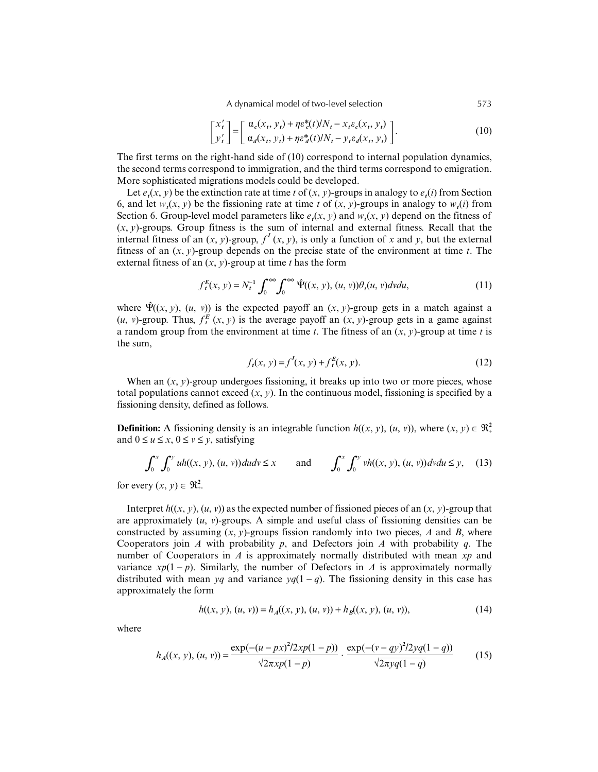A dynamical model of two-level selection 573

$$
\begin{bmatrix} x'_t \\ y'_t \end{bmatrix} = \begin{bmatrix} \alpha_e(x_t, y_t) + \eta \varepsilon_e^*(t) / N_t - x_t \varepsilon_e(x_t, y_t) \\ \alpha_d(x_t, y_t) + \eta \varepsilon_d^*(t) / N_t - y_t \varepsilon_d(x_t, y_t) \end{bmatrix}.
$$
 (10)

The first terms on the right-hand side of (10) correspond to internal population dynamics, the second terms correspond to immigration, and the third terms correspond to emigration. More sophisticated migrations models could be developed.

Let  $e_t(x, y)$  be the extinction rate at time *t* of  $(x, y)$ -groups in analogy to  $e_t(i)$  from Section 6, and let  $w(x, y)$  be the fissioning rate at time *t* of  $(x, y)$ -groups in analogy to  $w_i(i)$  from Section 6. Group-level model parameters like  $e_i(x, y)$  and  $w_i(x, y)$  depend on the fitness of  $(x, y)$ -groups. Group fitness is the sum of internal and external fitness. Recall that the internal fitness of an  $(x, y)$ -group,  $f^I(x, y)$ , is only a function of *x* and *y*, but the external fitness of an (*x*, *y*)-group depends on the precise state of the environment at time *t*. The external fitness of an (*x*, *y*)-group at time *t* has the form

$$
f_t^E(x, y) = N_t^{-1} \int_0^\infty \int_0^\infty \hat{\Psi}((x, y), (u, v)) \theta_t(u, v) dv du,
$$
\n(11)

where  $\hat{\Psi}((x, y), (u, v))$  is the expected payoff an  $(x, y)$ -group gets in a match against a  $(u, v)$ -group. Thus,  $f_t^E(x, y)$  is the average payoff an  $(x, y)$ -group gets in a game against a random group from the environment at time *t*. The fitness of an  $(x, y)$ -group at time *t* is the sum,

$$
f_t(x, y) = f^I(x, y) + f_t^E(x, y).
$$
 (12)

When an  $(x, y)$ -group undergoes fissioning, it breaks up into two or more pieces, whose total populations cannot exceed  $(x, y)$ . In the continuous model, fissioning is specified by a fissioning density, defined as follows.

**Definition:** A fissioning density is an integrable function  $h((x, y), (u, v))$ , where  $(x, y) \in \mathbb{R}^2_+$ and  $0 \le u \le x$ ,  $0 \le v \le y$ , satisfying

$$
\int_0^x \int_0^y uh((x, y), (u, v))dudv \le x \quad \text{and} \quad \int_0^x \int_0^y vh((x, y), (u, v))dvdu \le y, \quad (13)
$$

for every  $(x, y) \in \Re^2$ .

Interpret  $h((x, y), (u, v))$  as the expected number of fissioned pieces of an  $(x, y)$ -group that are approximately (*u*, *v*)-groups. A simple and useful class of fissioning densities can be constructed by assuming  $(x, y)$ -groups fission randomly into two pieces,  $A$  and  $B$ , where Cooperators join *A* with probability *p*, and Defectors join *A* with probability *q*. The number of Cooperators in *A* is approximately normally distributed with mean *xp* and variance  $xp(1-p)$ . Similarly, the number of Defectors in *A* is approximately normally distributed with mean *yq* and variance  $yq(1-q)$ . The fissioning density in this case has approximately the form

$$
h((x, y), (u, v)) = hA((x, y), (u, v)) + hB((x, y), (u, v)),
$$
\n(14)

where

$$
h_A((x, y), (u, v)) = \frac{\exp(-(u - px)^2/2xp(1 - p))}{\sqrt{2\pi xp(1 - p)}} \cdot \frac{\exp(-(v - qy)^2/2yq(1 - q))}{\sqrt{2\pi yq(1 - q)}}
$$
(15)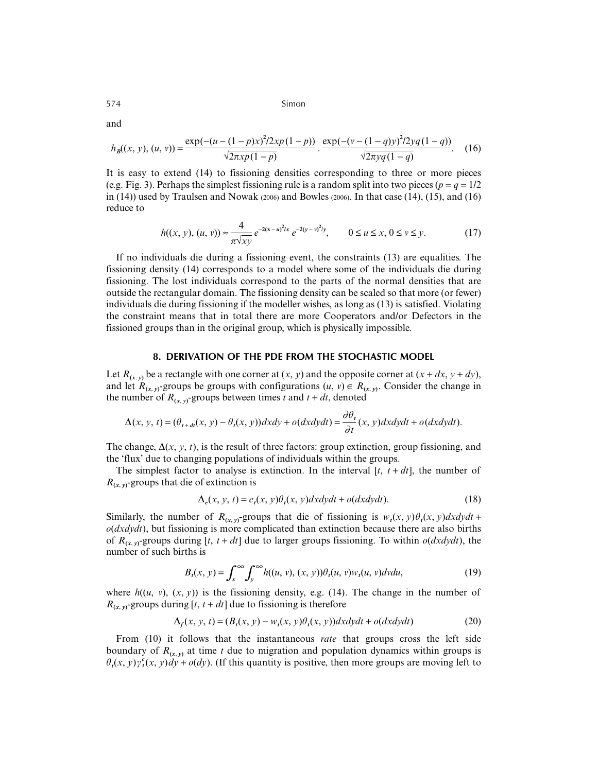$$
h_B((x, y), (u, v)) = \frac{\exp(-(u - (1 - p)x)^2/2xp(1 - p))}{\sqrt{2\pi xp(1 - p)}} \cdot \frac{\exp(-(v - (1 - q)y)^2/2yq(1 - q))}{\sqrt{2\pi yq(1 - q)}}.
$$
 (16)

It is easy to extend (14) to fissioning densities corresponding to three or more pieces (e.g. Fig. 3). Perhaps the simplest fissioning rule is a random split into two pieces ( $p = q = 1/2$ in (14)) used by Traulsen and Nowak (2006) and Bowles (2006). In that case (14), (15), and (16) reduce to

$$
h((x, y), (u, v)) \approx \frac{4}{\pi \sqrt{xy}} e^{-2(x - u)^2 / x} e^{-2(y - v)^2 / y}, \qquad 0 \le u \le x, 0 \le v \le y.
$$
 (17)

If no individuals die during a fissioning event, the constraints (13) are equalities. The fissioning density (14) corresponds to a model where some of the individuals die during fissioning. The lost individuals correspond to the parts of the normal densities that are outside the rectangular domain. The fissioning density can be scaled so that more (or fewer) individuals die during fissioning if the modeller wishes, as long as (13) is satisfied. Violating the constraint means that in total there are more Cooperators and/or Defectors in the fissioned groups than in the original group, which is physically impossible.

### **8. DERIVATION OF THE PDE FROM THE STOCHASTIC MODEL**

Let  $R_{(x, y)}$  be a rectangle with one corner at  $(x, y)$  and the opposite corner at  $(x + dx, y + dy)$ , and let  $R_{(x, y)}$ -groups be groups with configurations  $(u, v) \in R_{(x, y)}$ . Consider the change in the number of  $R_{(x, y)}$ -groups between times *t* and  $t + dt$ , denoted

$$
\Delta(x, y, t) = (\theta_{t+dt}(x, y) - \theta_t(x, y))dxdy + o(dxdydt) = \frac{\partial \theta_t}{\partial t}(x, y)dxdydt + o(dxdydt).
$$

The change,  $\Delta(x, y, t)$ , is the result of three factors: group extinction, group fissioning, and the 'flux' due to changing populations of individuals within the groups.

The simplest factor to analyse is extinction. In the interval  $[t, t + dt]$ , the number of  $R_{(x, y)}$ -groups that die of extinction is

$$
\Delta_e(x, y, t) = e_t(x, y)\theta_t(x, y)dx dy dt + o(dx dy dt).
$$
\n(18)

Similarly, the number of  $R_{(x, y)}$ -groups that die of fissioning is  $w_t(x, y) \theta_t(x, y) dx dy dt +$ *o*(*dxdydt*), but fissioning is more complicated than extinction because there are also births of  $R_{(x, y)}$ -groups during [*t*, *t* + *dt*] due to larger groups fissioning. To within *o*(*dxdydt*), the number of such births is

$$
B_t(x, y) = \int_x^{\infty} \int_y^{\infty} h((u, v), (x, y)) \theta_t(u, v) w_t(u, v) dv du,
$$
\n(19)

where  $h((u, v), (x, y))$  is the fissioning density, e.g. (14). The change in the number of  $R_{(x, y)}$ -groups during [*t*, *t* + *dt*] due to fissioning is therefore

$$
\Delta_f(x, y, t) = (B_t(x, y) - w_t(x, y)\theta_t(x, y))dxdydt + o(dxdydt)
$$
\n(20)

From (10) it follows that the instantaneous *rate* that groups cross the left side boundary of  $R_{(\mathbf{x}, \mathbf{y})}$  at time *t* due to migration and population dynamics within groups is  $\theta_t(x, y) \gamma_t^c(x, y) dy + o(dy)$ . (If this quantity is positive, then more groups are moving left to

and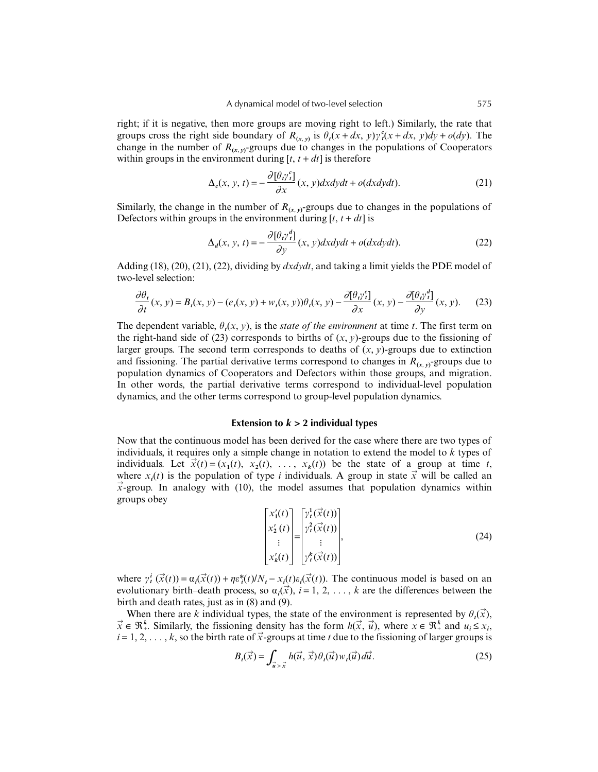right; if it is negative, then more groups are moving right to left.) Similarly, the rate that groups cross the right side boundary of  $R_{(x, y)}$  is  $\theta_t(x + dx, y) \gamma_t^c(x + dx, y) dy + o(dy)$ . The change in the number of  $R_{(x,y)}$ -groups due to changes in the populations of Cooperators within groups in the environment during  $[t, t + dt]$  is therefore

$$
\Delta_c(x, y, t) = -\frac{\partial [\theta_i \gamma_i^c]}{\partial x}(x, y) dx dy dt + o(dx dy dt).
$$
 (21)

Similarly, the change in the number of  $R_{(x, y)}$ -groups due to changes in the populations of Defectors within groups in the environment during  $[t, t + dt]$  is

$$
\Delta_d(x, y, t) = -\frac{\partial [\theta_i \gamma_i^d]}{\partial y}(x, y) dx dy dt + o(dx dy dt).
$$
 (22)

Adding (18), (20), (21), (22), dividing by *dxdydt*, and taking a limit yields the PDE model of two-level selection:

$$
\frac{\partial \theta_t}{\partial t}(x, y) = B_t(x, y) - (e_t(x, y) + w_t(x, y))\theta_t(x, y) - \frac{\partial [\theta_t \gamma_t^{\epsilon}]}{\partial x}(x, y) - \frac{\partial [\theta_t \gamma_t^{\epsilon}]}{\partial y}(x, y). \tag{23}
$$

The dependent variable,  $\theta_i(x, y)$ , is the *state of the environment* at time *t*. The first term on the right-hand side of (23) corresponds to births of  $(x, y)$ -groups due to the fissioning of larger groups. The second term corresponds to deaths of  $(x, y)$ -groups due to extinction and fissioning. The partial derivative terms correspond to changes in  $R_{(x, y)}$ -groups due to population dynamics of Cooperators and Defectors within those groups, and migration. In other words, the partial derivative terms correspond to individual-level population dynamics, and the other terms correspond to group-level population dynamics.

## **Extension to** *k* **> 2 individual types**

Now that the continuous model has been derived for the case where there are two types of individuals, it requires only a simple change in notation to extend the model to *k* types of individuals. Let  $\vec{x}(t) = (x_1(t), x_2(t), \ldots, x_k(t))$  be the state of a group at time *t*, where  $x_i(t)$  is the population of type *i* individuals. A group in state  $\vec{x}$  will be called an  $\vec{x}$ -group. In analogy with (10), the model assumes that population dynamics within groups obey

$$
\begin{bmatrix} x_1'(t) \\ x_2'(t) \\ \vdots \\ x_k'(t) \end{bmatrix} = \begin{bmatrix} \gamma_t^1(\vec{x}(t)) \\ \gamma_t^2(\vec{x}(t)) \\ \vdots \\ \gamma_t^k(\vec{x}(t)) \end{bmatrix},
$$
\n(24)

where  $\gamma_t^i(\vec{x}(t)) = \alpha_i(\vec{x}(t)) + \eta \varepsilon_t^*(t) / N_t - x_i(t) \varepsilon_i(\vec{x}(t))$ . The continuous model is based on an evolutionary birth–death process, so  $\alpha_i(\vec{x})$ ,  $i = 1, 2, ..., k$  are the differences between the birth and death rates, just as in (8) and (9).

When there are *k* individual types, the state of the environment is represented by  $\theta_t(\vec{x})$ ,  $\vec{x} \in \Re^{k}$ . Similarly, the fissioning density has the form  $h(\vec{x}, \vec{u})$ , where  $\vec{x} \in \Re^{k}$  and  $u_i \leq x_i$ ,  $i = 1, 2, \ldots, k$ , so the birth rate of  $\vec{x}$ -groups at time *t* due to the fissioning of larger groups is

$$
B_t(\vec{x}) = \int_{\vec{u} > \vec{x}} h(\vec{u}, \vec{x}) \theta_t(\vec{u}) w_t(\vec{u}) d\vec{u}.
$$
 (25)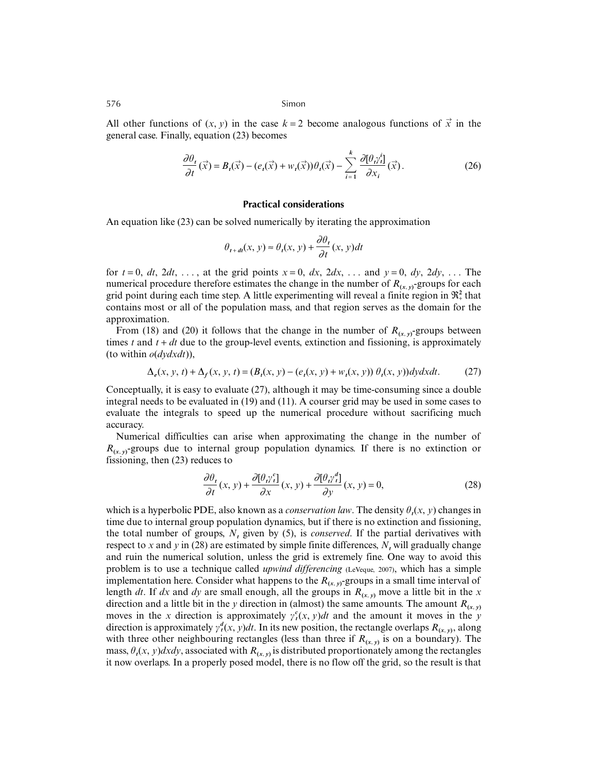All other functions of  $(x, y)$  in the case  $k = 2$  become analogous functions of  $\vec{x}$  in the general case. Finally, equation (23) becomes

$$
\frac{\partial \theta_t}{\partial t}(\vec{x}) = B_t(\vec{x}) - (e_t(\vec{x}) + w_t(\vec{x}))\theta_t(\vec{x}) - \sum_{i=1}^k \frac{\partial [\theta_i \gamma_i^i]}{\partial x_i}(\vec{x}).
$$
\n(26)

#### **Practical considerations**

An equation like (23) can be solved numerically by iterating the approximation

$$
\theta_{t+dt}(x, y) \approx \theta_t(x, y) + \frac{\partial \theta_t}{\partial t}(x, y)dt
$$

for  $t = 0$ ,  $dt$ ,  $2dt$ , ..., at the grid points  $x = 0$ ,  $dx$ ,  $2dx$ , ... and  $y = 0$ ,  $dy$ ,  $2dy$ , ... The numerical procedure therefore estimates the change in the number of  $R_{(x, y)}$ -groups for each grid point during each time step. A little experimenting will reveal a finite region in  $\mathfrak{R}_+^2$  that contains most or all of the population mass, and that region serves as the domain for the approximation.

From (18) and (20) it follows that the change in the number of  $R_{(x, y)}$ -groups between times  $t$  and  $t + dt$  due to the group-level events, extinction and fissioning, is approximately (to within *o*(*dydxdt*)),

$$
\Delta_e(x, y, t) + \Delta_f(x, y, t) = (B_t(x, y) - (e_t(x, y) + w_t(x, y))\theta_t(x, y))dydxdt.
$$
 (27)

Conceptually, it is easy to evaluate (27), although it may be time-consuming since a double integral needs to be evaluated in (19) and (11). A courser grid may be used in some cases to evaluate the integrals to speed up the numerical procedure without sacrificing much accuracy.

Numerical difficulties can arise when approximating the change in the number of  $R_{(x, y)}$ -groups due to internal group population dynamics. If there is no extinction or fissioning, then (23) reduces to

$$
\frac{\partial \theta_t}{\partial t}(x, y) + \frac{\partial [\theta_t \gamma_t^e]}{\partial x}(x, y) + \frac{\partial [\theta_t \gamma_t^d]}{\partial y}(x, y) = 0,
$$
\n(28)

which is a hyperbolic PDE, also known as a *conservation law*. The density  $\theta_t(x, y)$  changes in time due to internal group population dynamics, but if there is no extinction and fissioning, the total number of groups,  $N_t$  given by (5), is *conserved*. If the partial derivatives with respect to *x* and *y* in (28) are estimated by simple finite differences,  $N_t$  will gradually change and ruin the numerical solution, unless the grid is extremely fine. One way to avoid this problem is to use a technique called *upwind differencing* (LeVeque, 2007), which has a simple implementation here. Consider what happens to the  $R_{(x, y)}$ -groups in a small time interval of length *dt*. If *dx* and *dy* are small enough, all the groups in  $R_{(x, y)}$  move a little bit in the *x* direction and a little bit in the *y* direction in (almost) the same amounts. The amount  $R_{(x,y)}$ moves in the *x* direction is approximately  $\gamma_t^c(x, y)dt$  and the amount it moves in the *y* direction is approximately  $\gamma_t^d(x, y)dt$ . In its new position, the rectangle overlaps  $R_{(x, y)}$ , along with three other neighbouring rectangles (less than three if  $R_{(x,y)}$  is on a boundary). The mass,  $\theta_t(x, y) dx dy$ , associated with  $R_{(x, y)}$  is distributed proportionately among the rectangles it now overlaps. In a properly posed model, there is no flow off the grid, so the result is that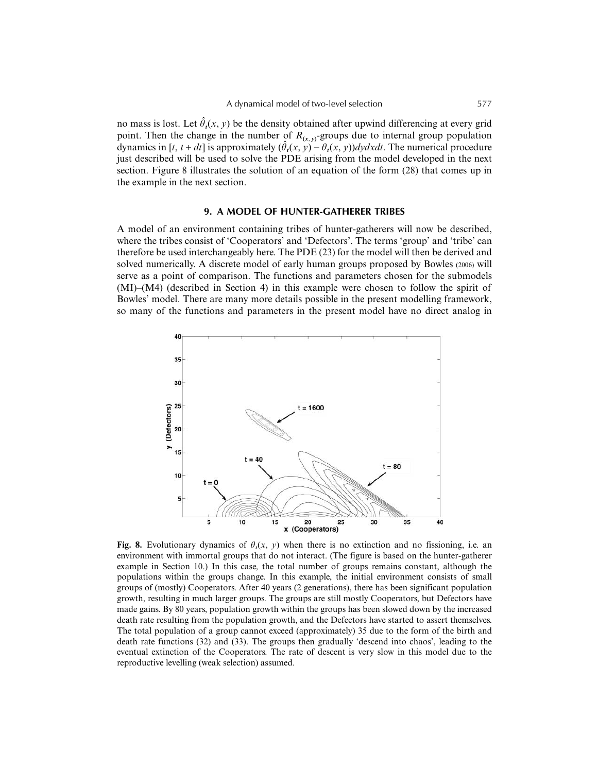no mass is lost. Let  $\hat{\theta}_t(x, y)$  be the density obtained after upwind differencing at every grid point. Then the change in the number of  $R_{(x, y)}$ -groups due to internal group population dynamics in [t, t + dt] is approximately  $(\hat{\theta}_t(x, y) - \theta_t(x, y))dydxdt$ . The numerical procedure just described will be used to solve the PDE arising from the model developed in the next section. Figure 8 illustrates the solution of an equation of the form (28) that comes up in the example in the next section.

#### **9. A MODEL OF HUNTER-GATHERER TRIBES**

A model of an environment containing tribes of hunter-gatherers will now be described, where the tribes consist of 'Cooperators' and 'Defectors'. The terms 'group' and 'tribe' can therefore be used interchangeably here. The PDE (23) for the model will then be derived and solved numerically. A discrete model of early human groups proposed by Bowles (2006) will serve as a point of comparison. The functions and parameters chosen for the submodels (MI)–(M4) (described in Section 4) in this example were chosen to follow the spirit of Bowles' model. There are many more details possible in the present modelling framework, so many of the functions and parameters in the present model have no direct analog in



**Fig. 8.** Evolutionary dynamics of  $\theta_t(x, y)$  when there is no extinction and no fissioning, i.e. an environment with immortal groups that do not interact. (The figure is based on the hunter-gatherer example in Section 10.) In this case, the total number of groups remains constant, although the populations within the groups change. In this example, the initial environment consists of small groups of (mostly) Cooperators. After 40 years (2 generations), there has been significant population growth, resulting in much larger groups. The groups are still mostly Cooperators, but Defectors have made gains. By 80 years, population growth within the groups has been slowed down by the increased death rate resulting from the population growth, and the Defectors have started to assert themselves. The total population of a group cannot exceed (approximately) 35 due to the form of the birth and death rate functions (32) and (33). The groups then gradually 'descend into chaos', leading to the eventual extinction of the Cooperators. The rate of descent is very slow in this model due to the reproductive levelling (weak selection) assumed.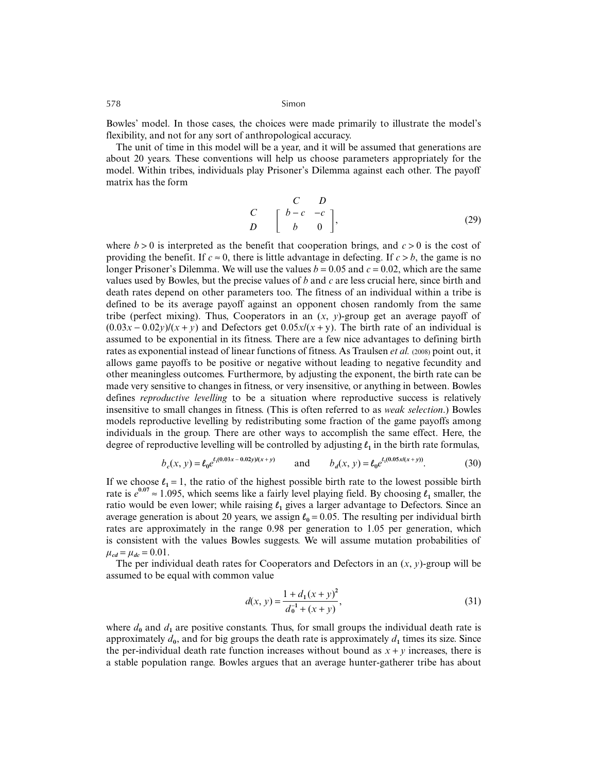Bowles' model. In those cases, the choices were made primarily to illustrate the model's flexibility, and not for any sort of anthropological accuracy.

The unit of time in this model will be a year, and it will be assumed that generations are about 20 years. These conventions will help us choose parameters appropriately for the model. Within tribes, individuals play Prisoner's Dilemma against each other. The payoff matrix has the form

$$
\begin{array}{ccc}\nC & D \\
C & \left[\begin{array}{ccc} b-c & -c \\
b & 0 \end{array}\right],\n\end{array} (29)
$$

where  $b > 0$  is interpreted as the benefit that cooperation brings, and  $c > 0$  is the cost of providing the benefit. If  $c \approx 0$ , there is little advantage in defecting. If  $c > b$ , the game is no longer Prisoner's Dilemma. We will use the values  $b = 0.05$  and  $c = 0.02$ , which are the same values used by Bowles, but the precise values of *b* and *c* are less crucial here, since birth and death rates depend on other parameters too. The fitness of an individual within a tribe is defined to be its average payoff against an opponent chosen randomly from the same tribe (perfect mixing). Thus, Cooperators in an  $(x, y)$ -group get an average payoff of  $(0.03x - 0.02y)/(x + y)$  and Defectors get  $0.05x/(x + y)$ . The birth rate of an individual is assumed to be exponential in its fitness. There are a few nice advantages to defining birth rates as exponential instead of linear functions of fitness. As Traulsen *et al.* (2008) point out, it allows game payoffs to be positive or negative without leading to negative fecundity and other meaningless outcomes. Furthermore, by adjusting the exponent, the birth rate can be made very sensitive to changes in fitness, or very insensitive, or anything in between. Bowles defines *reproductive levelling* to be a situation where reproductive success is relatively insensitive to small changes in fitness. (This is often referred to as *weak selection*.) Bowles models reproductive levelling by redistributing some fraction of the game payoffs among individuals in the group. There are other ways to accomplish the same effect. Here, the degree of reproductive levelling will be controlled by adjusting  $\ell$ , in the birth rate formulas,

$$
b_c(x, y) = \ell_0 e^{\ell_1(0.03x - 0.02y)(x + y)} \qquad \text{and} \qquad b_d(x, y) = \ell_0 e^{\ell_1(0.05x/(x + y))}. \tag{30}
$$

If we choose  $\ell_1 = 1$ , the ratio of the highest possible birth rate to the lowest possible birth rate is  $e^{0.07} \approx 1.095$ , which seems like a fairly level playing field. By choosing  $\ell_1$  smaller, the ratio would be even lower; while raising  $\ell_1$  gives a larger advantage to Defectors. Since an average generation is about 20 years, we assign  $\ell_0 = 0.05$ . The resulting per individual birth rates are approximately in the range 0.98 per generation to 1.05 per generation, which is consistent with the values Bowles suggests. We will assume mutation probabilities of  $\mu_{cd} = \mu_{dc} = 0.01$ .

The per individual death rates for Cooperators and Defectors in an  $(x, y)$ -group will be assumed to be equal with common value

$$
d(x, y) = \frac{1 + d_1(x + y)^2}{d_0^{-1} + (x + y)},
$$
\n(31)

where  $d_0$  and  $d_1$  are positive constants. Thus, for small groups the individual death rate is approximately  $d_0$ , and for big groups the death rate is approximately  $d_1$  times its size. Since the per-individual death rate function increases without bound as  $x + y$  increases, there is a stable population range. Bowles argues that an average hunter-gatherer tribe has about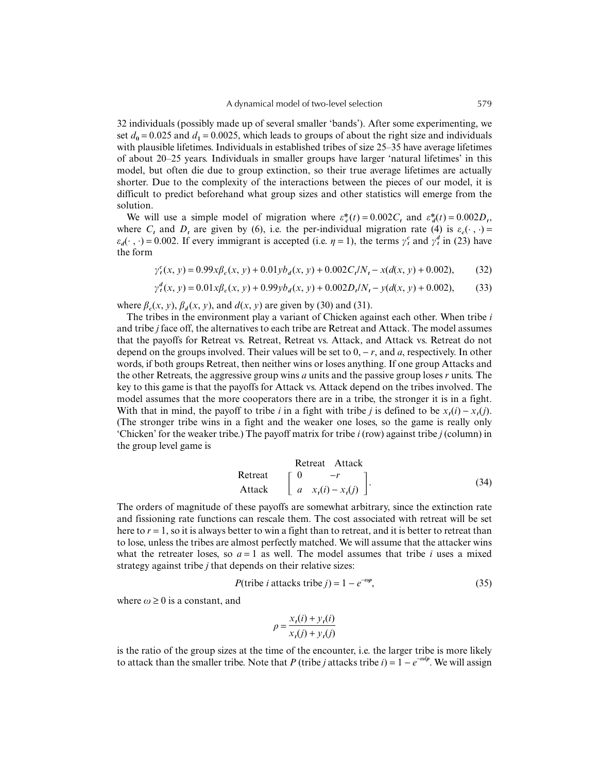32 individuals (possibly made up of several smaller 'bands'). After some experimenting, we set  $d_0 = 0.025$  and  $d_1 = 0.0025$ , which leads to groups of about the right size and individuals with plausible lifetimes. Individuals in established tribes of size 25–35 have average lifetimes of about 20–25 years. Individuals in smaller groups have larger 'natural lifetimes' in this model, but often die due to group extinction, so their true average lifetimes are actually shorter. Due to the complexity of the interactions between the pieces of our model, it is difficult to predict beforehand what group sizes and other statistics will emerge from the solution.

We will use a simple model of migration where  $\varepsilon_c^*(t) = 0.002C_t$  and  $\varepsilon_d^*(t) = 0.002D_t$ , where  $C_t$  and  $D_t$  are given by (6), i.e. the per-individual migration rate (4) is  $\varepsilon_c(\cdot, \cdot)$  =  $\varepsilon_d(\cdot, \cdot) = 0.002$ . If every immigrant is accepted (i.e.  $\eta = 1$ ), the terms  $\gamma_t^c$  and  $\gamma_t^d$  in (23) have the form

 $\gamma_t^c(x, y) = 0.99x\beta_c(x, y) + 0.01yb_d(x, y) + 0.002C_t/N_t - x(d(x, y) + 0.002),$  (32)

$$
\gamma_t^d(x, y) = 0.01 x \beta_c(x, y) + 0.99 y b_d(x, y) + 0.002 D_t/N_t - y(d(x, y) + 0.002), \tag{33}
$$

where  $\beta_a(x, y)$ ,  $\beta_a(x, y)$ , and  $d(x, y)$  are given by (30) and (31).

The tribes in the environment play a variant of Chicken against each other. When tribe *i* and tribe *j* face off, the alternatives to each tribe are Retreat and Attack. The model assumes that the payoffs for Retreat vs. Retreat, Retreat vs. Attack, and Attack vs. Retreat do not depend on the groups involved. Their values will be set to 0, − *r*, and *a*, respectively. In other words, if both groups Retreat, then neither wins or loses anything. If one group Attacks and the other Retreats, the aggressive group wins *a* units and the passive group loses *r* units. The key to this game is that the payoffs for Attack vs. Attack depend on the tribes involved. The model assumes that the more cooperators there are in a tribe, the stronger it is in a fight. With that in mind, the payoff to tribe *i* in a fight with tribe *j* is defined to be  $x_i(i) - x_i(j)$ . (The stronger tribe wins in a fight and the weaker one loses, so the game is really only 'Chicken' for the weaker tribe.) The payoff matrix for tribe *i* (row) against tribe *j* (column) in the group level game is

Retreat Attack

\n
$$
\begin{bmatrix}\n0 & -r \\
a & x_t(i) - x_t(j)\n\end{bmatrix}.
$$
\n(34)

The orders of magnitude of these payoffs are somewhat arbitrary, since the extinction rate and fissioning rate functions can rescale them. The cost associated with retreat will be set here to *r* = 1, so it is always better to win a fight than to retreat, and it is better to retreat than to lose, unless the tribes are almost perfectly matched. We will assume that the attacker wins what the retreater loses, so  $a = 1$  as well. The model assumes that tribe *i* uses a mixed strategy against tribe *j* that depends on their relative sizes:

$$
P(\text{tribe } i \text{ attacks triple } j) = 1 - e^{-\omega p},\tag{35}
$$

where  $\omega \geq 0$  is a constant, and

$$
\rho = \frac{x_t(i) + y_t(i)}{x_t(j) + y_t(j)}
$$

is the ratio of the group sizes at the time of the encounter, i.e. the larger tribe is more likely to attack than the smaller tribe. Note that *P* (tribe *j* attacks tribe *i*) =  $1 - e^{-\omega/\rho}$ . We will assign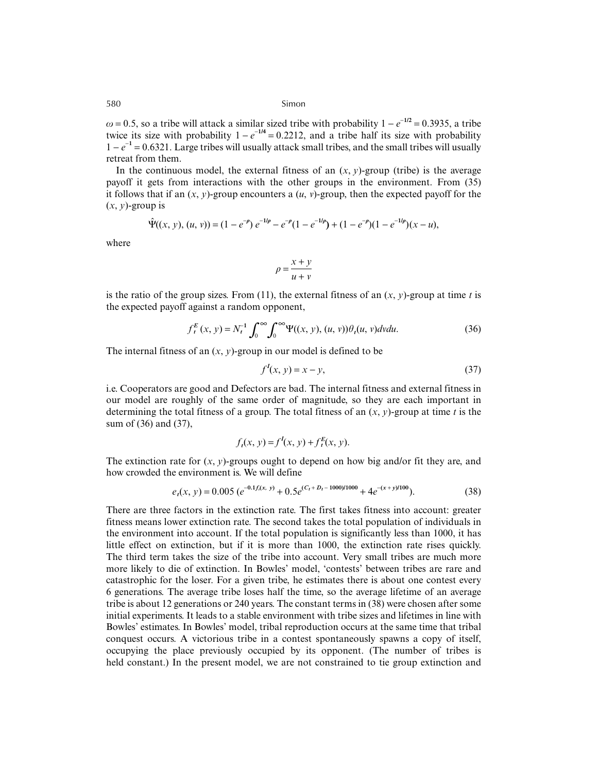$\omega$  = 0.5, so a tribe will attack a similar sized tribe with probability  $1 - e^{-1/2} = 0.3935$ , a tribe twice its size with probability  $1 - e^{-1/4} = 0.2212$ , and a tribe half its size with probability 1 − *e* <sup>−</sup>**<sup>1</sup>** = 0.6321. Large tribes will usually attack small tribes, and the small tribes will usually retreat from them.

In the continuous model, the external fitness of an  $(x, y)$ -group (tribe) is the average payoff it gets from interactions with the other groups in the environment. From (35) it follows that if an  $(x, y)$ -group encounters a  $(u, v)$ -group, then the expected payoff for the  $(x, y)$ -group is

$$
\hat{\Psi}((x, y), (u, v)) = (1 - e^{-\rho}) e^{-1/\rho} - e^{-\rho} (1 - e^{-1/\rho}) + (1 - e^{-\rho})(1 - e^{-1/\rho})(x - u),
$$

where

$$
\rho = \frac{x + y}{u + v}
$$

is the ratio of the group sizes. From (11), the external fitness of an  $(x, y)$ -group at time *t* is the expected payoff against a random opponent,

$$
f_t^E(x, y) = N_t^{-1} \int_0^\infty \int_0^\infty \Psi((x, y), (u, v)) \theta_t(u, v) dv du.
$$
 (36)

The internal fitness of an  $(x, y)$ -group in our model is defined to be

$$
fI(x, y) = x - y,
$$
\n(37)

i.e. Cooperators are good and Defectors are bad. The internal fitness and external fitness in our model are roughly of the same order of magnitude, so they are each important in determining the total fitness of a group. The total fitness of an  $(x, y)$ -group at time *t* is the sum of (36) and (37),

$$
f_t(x, y) = f'(x, y) + f_t^E(x, y).
$$

The extinction rate for  $(x, y)$ -groups ought to depend on how big and/or fit they are, and how crowded the environment is. We will define

$$
e_t(x, y) = 0.005 \left( e^{-0.1 f_i(x, y)} + 0.5 e^{(C_t + D_t - 1000)/1000} + 4 e^{-(x + y)/100} \right). \tag{38}
$$

There are three factors in the extinction rate. The first takes fitness into account: greater fitness means lower extinction rate. The second takes the total population of individuals in the environment into account. If the total population is significantly less than 1000, it has little effect on extinction, but if it is more than 1000, the extinction rate rises quickly. The third term takes the size of the tribe into account. Very small tribes are much more more likely to die of extinction. In Bowles' model, 'contests' between tribes are rare and catastrophic for the loser. For a given tribe, he estimates there is about one contest every 6 generations. The average tribe loses half the time, so the average lifetime of an average tribe is about 12 generations or 240 years. The constant terms in (38) were chosen after some initial experiments. It leads to a stable environment with tribe sizes and lifetimes in line with Bowles' estimates. In Bowles' model, tribal reproduction occurs at the same time that tribal conquest occurs. A victorious tribe in a contest spontaneously spawns a copy of itself, occupying the place previously occupied by its opponent. (The number of tribes is held constant.) In the present model, we are not constrained to tie group extinction and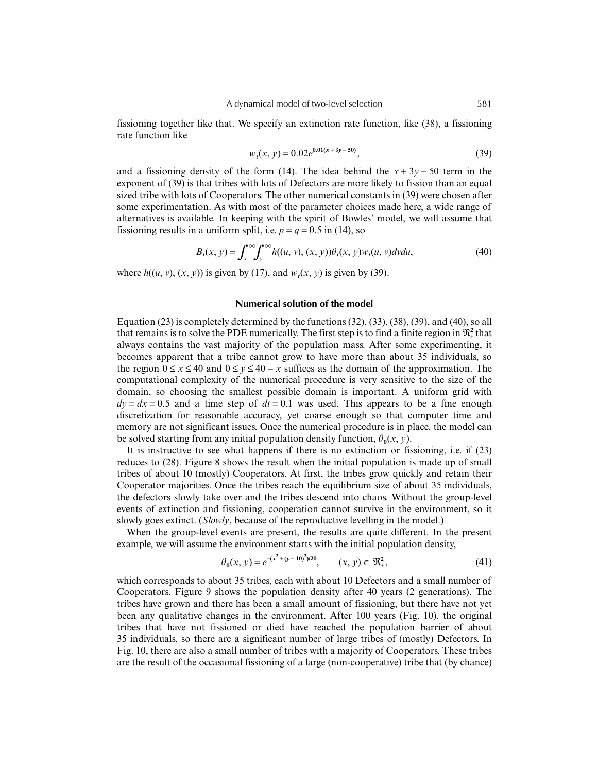fissioning together like that. We specify an extinction rate function, like (38), a fissioning rate function like

$$
w_t(x, y) = 0.02e^{0.01(x + 3y - 50)},
$$
\n(39)

and a fissioning density of the form (14). The idea behind the  $x + 3y - 50$  term in the exponent of (39) is that tribes with lots of Defectors are more likely to fission than an equal sized tribe with lots of Cooperators. The other numerical constants in (39) were chosen after some experimentation. As with most of the parameter choices made here, a wide range of alternatives is available. In keeping with the spirit of Bowles' model, we will assume that fissioning results in a uniform split, i.e.  $p = q = 0.5$  in (14), so

$$
B_t(x, y) = \int_x^{\infty} \int_y^{\infty} h((u, v), (x, y)) \theta_t(x, y) w_t(u, v) dv du,
$$
\n(40)

where  $h((u, v), (x, y))$  is given by (17), and  $w_t(x, y)$  is given by (39).

## **Numerical solution of the model**

Equation (23) is completely determined by the functions (32), (33), (38), (39), and (40), so all that remains is to solve the PDE numerically. The first step is to find a finite region in  $\mathfrak{R}_+^2$  that always contains the vast majority of the population mass. After some experimenting, it becomes apparent that a tribe cannot grow to have more than about 35 individuals, so the region  $0 \le x \le 40$  and  $0 \le y \le 40 - x$  suffices as the domain of the approximation. The computational complexity of the numerical procedure is very sensitive to the size of the domain, so choosing the smallest possible domain is important. A uniform grid with  $dv = dx = 0.5$  and a time step of  $dt = 0.1$  was used. This appears to be a fine enough discretization for reasonable accuracy, yet coarse enough so that computer time and memory are not significant issues. Once the numerical procedure is in place, the model can be solved starting from any initial population density function,  $\theta_0(x, y)$ .

It is instructive to see what happens if there is no extinction or fissioning, i.e. if (23) reduces to (28). Figure 8 shows the result when the initial population is made up of small tribes of about 10 (mostly) Cooperators. At first, the tribes grow quickly and retain their Cooperator majorities. Once the tribes reach the equilibrium size of about 35 individuals, the defectors slowly take over and the tribes descend into chaos. Without the group-level events of extinction and fissioning, cooperation cannot survive in the environment, so it slowly goes extinct. (*Slowly*, because of the reproductive levelling in the model.)

When the group-level events are present, the results are quite different. In the present example, we will assume the environment starts with the initial population density,

$$
\theta_0(x, y) = e^{-(x^2 + (y - 10)^2)/20}, \qquad (x, y) \in \mathfrak{R}_+^2,
$$
 (41)

which corresponds to about 35 tribes, each with about 10 Defectors and a small number of Cooperators. Figure 9 shows the population density after 40 years (2 generations). The tribes have grown and there has been a small amount of fissioning, but there have not yet been any qualitative changes in the environment. After 100 years (Fig. 10), the original tribes that have not fissioned or died have reached the population barrier of about 35 individuals, so there are a significant number of large tribes of (mostly) Defectors. In Fig. 10, there are also a small number of tribes with a majority of Cooperators. These tribes are the result of the occasional fissioning of a large (non-cooperative) tribe that (by chance)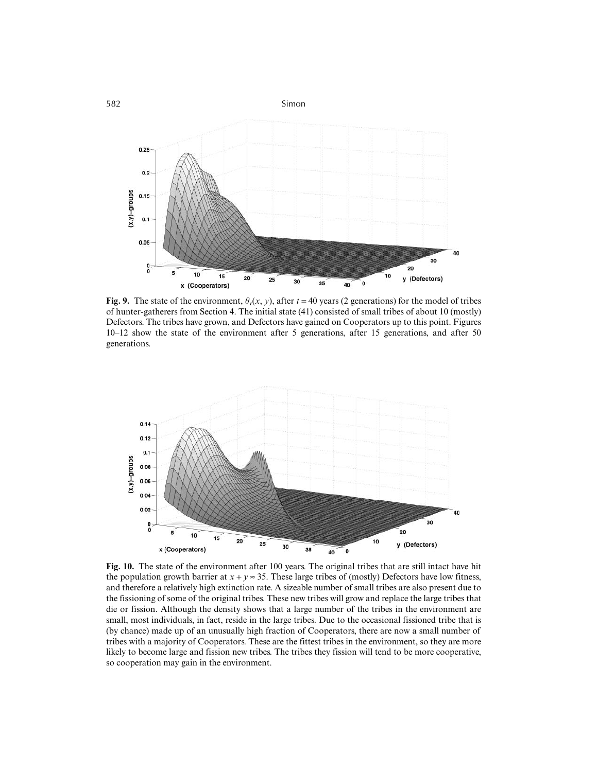

**Fig. 9.** The state of the environment,  $\theta_t(x, y)$ , after  $t = 40$  years (2 generations) for the model of tribes of hunter-gatherers from Section 4. The initial state (41) consisted of small tribes of about 10 (mostly) Defectors. The tribes have grown, and Defectors have gained on Cooperators up to this point. Figures 10–12 show the state of the environment after 5 generations, after 15 generations, and after 50 generations.



**Fig. 10.** The state of the environment after 100 years. The original tribes that are still intact have hit the population growth barrier at  $x + y \approx 35$ . These large tribes of (mostly) Defectors have low fitness, and therefore a relatively high extinction rate. A sizeable number of small tribes are also present due to the fissioning of some of the original tribes. These new tribes will grow and replace the large tribes that die or fission. Although the density shows that a large number of the tribes in the environment are small, most individuals, in fact, reside in the large tribes. Due to the occasional fissioned tribe that is (by chance) made up of an unusually high fraction of Cooperators, there are now a small number of tribes with a majority of Cooperators. These are the fittest tribes in the environment, so they are more likely to become large and fission new tribes. The tribes they fission will tend to be more cooperative, so cooperation may gain in the environment.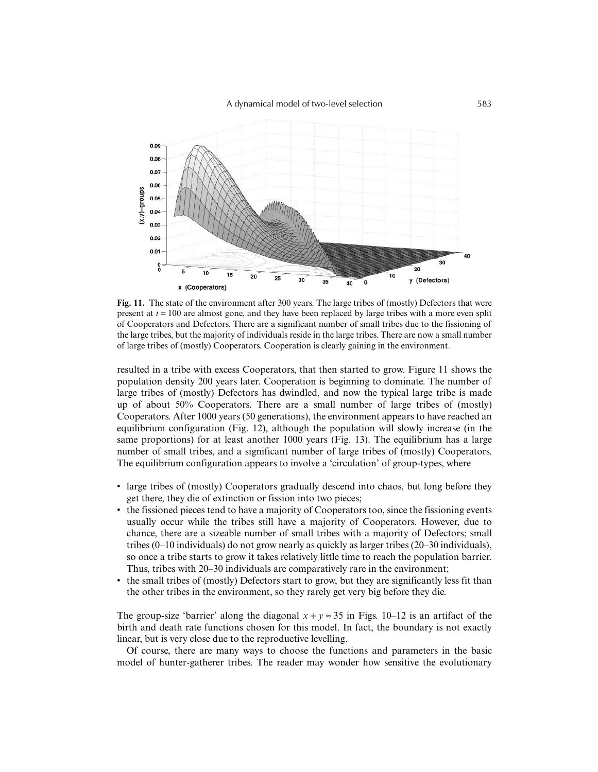

**Fig. 11.** The state of the environment after 300 years. The large tribes of (mostly) Defectors that were present at *t* = 100 are almost gone, and they have been replaced by large tribes with a more even split of Cooperators and Defectors. There are a significant number of small tribes due to the fissioning of the large tribes, but the majority of individuals reside in the large tribes. There are now a small number of large tribes of (mostly) Cooperators. Cooperation is clearly gaining in the environment.

resulted in a tribe with excess Cooperators, that then started to grow. Figure 11 shows the population density 200 years later. Cooperation is beginning to dominate. The number of large tribes of (mostly) Defectors has dwindled, and now the typical large tribe is made up of about 50% Cooperators. There are a small number of large tribes of (mostly) Cooperators. After 1000 years (50 generations), the environment appears to have reached an equilibrium configuration (Fig. 12), although the population will slowly increase (in the same proportions) for at least another 1000 years (Fig. 13). The equilibrium has a large number of small tribes, and a significant number of large tribes of (mostly) Cooperators. The equilibrium configuration appears to involve a 'circulation' of group-types, where

- large tribes of (mostly) Cooperators gradually descend into chaos, but long before they get there, they die of extinction or fission into two pieces;
- the fissioned pieces tend to have a majority of Cooperators too, since the fissioning events usually occur while the tribes still have a majority of Cooperators. However, due to chance, there are a sizeable number of small tribes with a majority of Defectors; small tribes (0–10 individuals) do not grow nearly as quickly as larger tribes (20–30 individuals), so once a tribe starts to grow it takes relatively little time to reach the population barrier. Thus, tribes with 20–30 individuals are comparatively rare in the environment;
- the small tribes of (mostly) Defectors start to grow, but they are significantly less fit than the other tribes in the environment, so they rarely get very big before they die.

The group-size 'barrier' along the diagonal  $x + y \approx 35$  in Figs. 10–12 is an artifact of the birth and death rate functions chosen for this model. In fact, the boundary is not exactly linear, but is very close due to the reproductive levelling.

Of course, there are many ways to choose the functions and parameters in the basic model of hunter-gatherer tribes. The reader may wonder how sensitive the evolutionary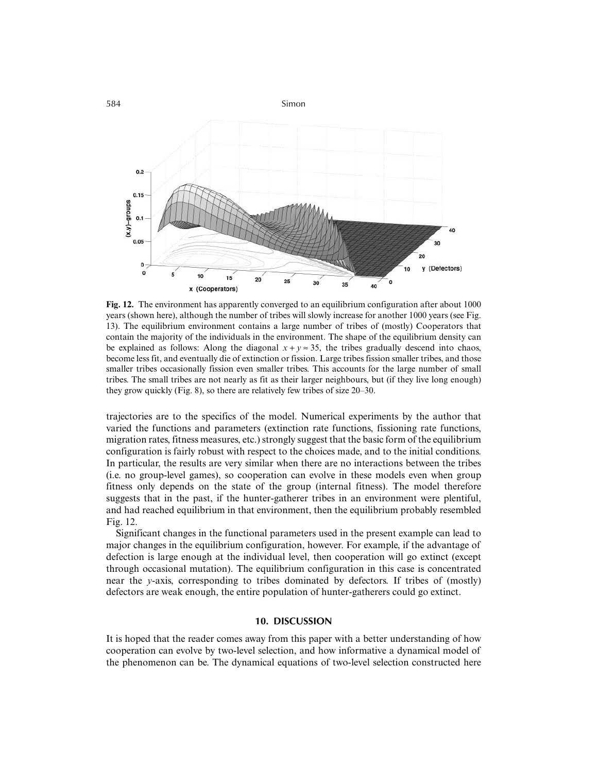

**Fig. 12.** The environment has apparently converged to an equilibrium configuration after about 1000 years (shown here), although the number of tribes will slowly increase for another 1000 years (see Fig. 13). The equilibrium environment contains a large number of tribes of (mostly) Cooperators that contain the majority of the individuals in the environment. The shape of the equilibrium density can be explained as follows: Along the diagonal  $x + y \approx 35$ , the tribes gradually descend into chaos, become less fit, and eventually die of extinction or fission. Large tribes fission smaller tribes, and those smaller tribes occasionally fission even smaller tribes. This accounts for the large number of small tribes. The small tribes are not nearly as fit as their larger neighbours, but (if they live long enough) they grow quickly (Fig. 8), so there are relatively few tribes of size 20–30.

trajectories are to the specifics of the model. Numerical experiments by the author that varied the functions and parameters (extinction rate functions, fissioning rate functions, migration rates, fitness measures, etc.) strongly suggest that the basic form of the equilibrium configuration is fairly robust with respect to the choices made, and to the initial conditions. In particular, the results are very similar when there are no interactions between the tribes (i.e. no group-level games), so cooperation can evolve in these models even when group fitness only depends on the state of the group (internal fitness). The model therefore suggests that in the past, if the hunter-gatherer tribes in an environment were plentiful, and had reached equilibrium in that environment, then the equilibrium probably resembled Fig. 12.

Significant changes in the functional parameters used in the present example can lead to major changes in the equilibrium configuration, however. For example, if the advantage of defection is large enough at the individual level, then cooperation will go extinct (except through occasional mutation). The equilibrium configuration in this case is concentrated near the *y*-axis, corresponding to tribes dominated by defectors. If tribes of (mostly) defectors are weak enough, the entire population of hunter-gatherers could go extinct.

## **10. DISCUSSION**

It is hoped that the reader comes away from this paper with a better understanding of how cooperation can evolve by two-level selection, and how informative a dynamical model of the phenomenon can be. The dynamical equations of two-level selection constructed here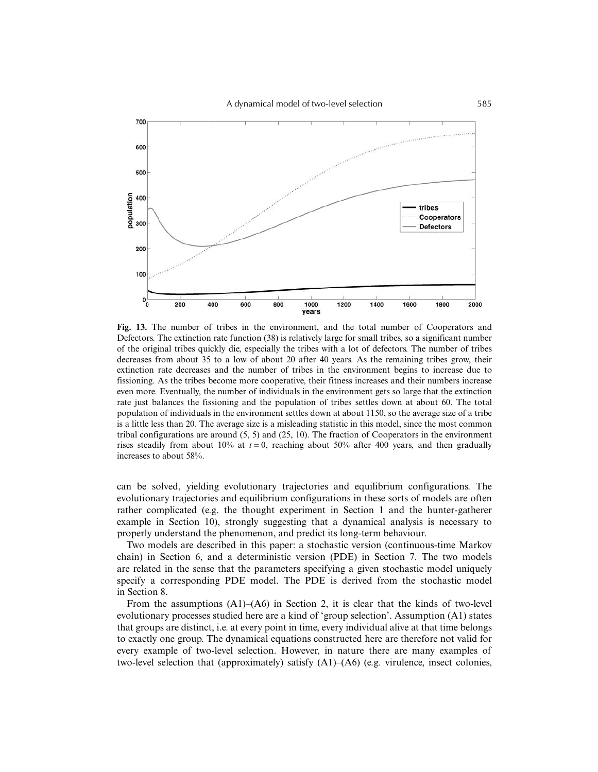A dynamical model of two-level selection 585



**Fig. 13.** The number of tribes in the environment, and the total number of Cooperators and Defectors. The extinction rate function (38) is relatively large for small tribes, so a significant number of the original tribes quickly die, especially the tribes with a lot of defectors. The number of tribes decreases from about 35 to a low of about 20 after 40 years. As the remaining tribes grow, their extinction rate decreases and the number of tribes in the environment begins to increase due to fissioning. As the tribes become more cooperative, their fitness increases and their numbers increase even more. Eventually, the number of individuals in the environment gets so large that the extinction rate just balances the fissioning and the population of tribes settles down at about 60. The total population of individuals in the environment settles down at about 1150, so the average size of a tribe is a little less than 20. The average size is a misleading statistic in this model, since the most common tribal configurations are around (5, 5) and (25, 10). The fraction of Cooperators in the environment rises steadily from about 10% at  $t = 0$ , reaching about 50% after 400 years, and then gradually increases to about 58%.

can be solved, yielding evolutionary trajectories and equilibrium configurations. The evolutionary trajectories and equilibrium configurations in these sorts of models are often rather complicated (e.g. the thought experiment in Section 1 and the hunter-gatherer example in Section 10), strongly suggesting that a dynamical analysis is necessary to properly understand the phenomenon, and predict its long-term behaviour.

Two models are described in this paper: a stochastic version (continuous-time Markov chain) in Section 6, and a deterministic version (PDE) in Section 7. The two models are related in the sense that the parameters specifying a given stochastic model uniquely specify a corresponding PDE model. The PDE is derived from the stochastic model in Section 8.

From the assumptions (A1)–(A6) in Section 2, it is clear that the kinds of two-level evolutionary processes studied here are a kind of 'group selection'. Assumption (A1) states that groups are distinct, i.e. at every point in time, every individual alive at that time belongs to exactly one group. The dynamical equations constructed here are therefore not valid for every example of two-level selection. However, in nature there are many examples of two-level selection that (approximately) satisfy (A1)–(A6) (e.g. virulence, insect colonies,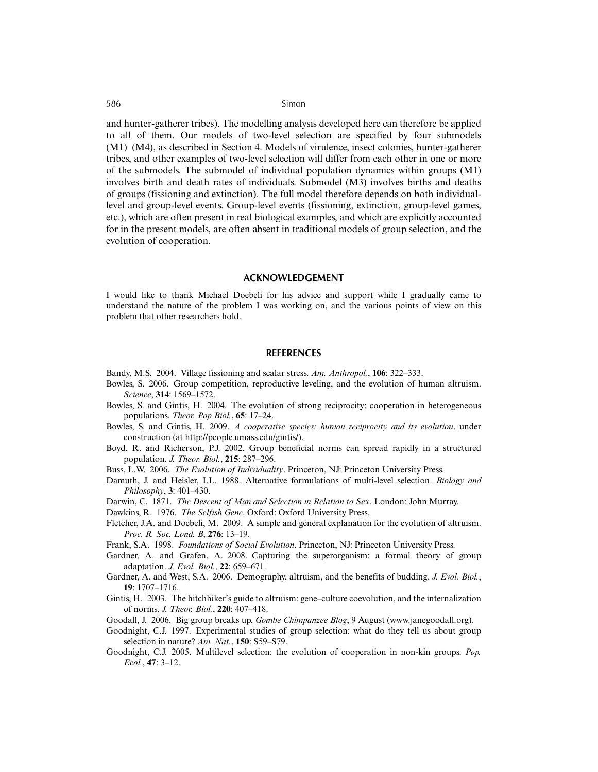and hunter-gatherer tribes). The modelling analysis developed here can therefore be applied to all of them. Our models of two-level selection are specified by four submodels (M1)–(M4), as described in Section 4. Models of virulence, insect colonies, hunter-gatherer tribes, and other examples of two-level selection will differ from each other in one or more of the submodels. The submodel of individual population dynamics within groups (M1) involves birth and death rates of individuals. Submodel (M3) involves births and deaths of groups (fissioning and extinction). The full model therefore depends on both individuallevel and group-level events. Group-level events (fissioning, extinction, group-level games, etc.), which are often present in real biological examples, and which are explicitly accounted for in the present models, are often absent in traditional models of group selection, and the evolution of cooperation.

#### **ACKNOWLEDGEMENT**

I would like to thank Michael Doebeli for his advice and support while I gradually came to understand the nature of the problem I was working on, and the various points of view on this problem that other researchers hold.

#### **REFERENCES**

- Bandy, M.S. 2004. Village fissioning and scalar stress. *Am. Anthropol.*, **106**: 322–333.
- Bowles, S. 2006. Group competition, reproductive leveling, and the evolution of human altruism. *Science*, **314**: 1569–1572.
- Bowles, S. and Gintis, H. 2004. The evolution of strong reciprocity: cooperation in heterogeneous populations. *Theor. Pop Biol.*, **65**: 17–24.
- Bowles, S. and Gintis, H. 2009. *A cooperative species: human reciprocity and its evolution*, under construction (at http://people.umass.edu/gintis/).
- Boyd, R. and Richerson, P.J. 2002. Group beneficial norms can spread rapidly in a structured population. *J. Theor. Biol.*, **215**: 287–296.
- Buss, L.W. 2006. *The Evolution of Individuality*. Princeton, NJ: Princeton University Press.
- Damuth, J. and Heisler, I.L. 1988. Alternative formulations of multi-level selection. *Biology and Philosophy*, **3**: 401–430.
- Darwin, C. 1871. *The Descent of Man and Selection in Relation to Sex*. London: John Murray.

Dawkins, R. 1976. *The Selfish Gene*. Oxford: Oxford University Press.

- Fletcher, J.A. and Doebeli, M. 2009. A simple and general explanation for the evolution of altruism. *Proc. R. Soc. Lond. B*, **276**: 13–19.
- Frank, S.A. 1998. *Foundations of Social Evolution*. Princeton, NJ: Princeton University Press.
- Gardner, A. and Grafen, A. 2008. Capturing the superorganism: a formal theory of group adaptation. *J. Evol. Biol.*, **22**: 659–671.
- Gardner, A. and West, S.A. 2006. Demography, altruism, and the benefits of budding. *J. Evol. Biol.*, **19**: 1707–1716.
- Gintis, H. 2003. The hitchhiker's guide to altruism: gene–culture coevolution, and the internalization of norms. *J. Theor. Biol.*, **220**: 407–418.
- Goodall, J. 2006. Big group breaks up. *Gombe Chimpanzee Blog*, 9 August (www.janegoodall.org).
- Goodnight, C.J. 1997. Experimental studies of group selection: what do they tell us about group selection in nature? *Am. Nat.*, **150**: S59–S79.
- Goodnight, C.J. 2005. Multilevel selection: the evolution of cooperation in non-kin groups. *Pop. Ecol.*, **47**: 3–12.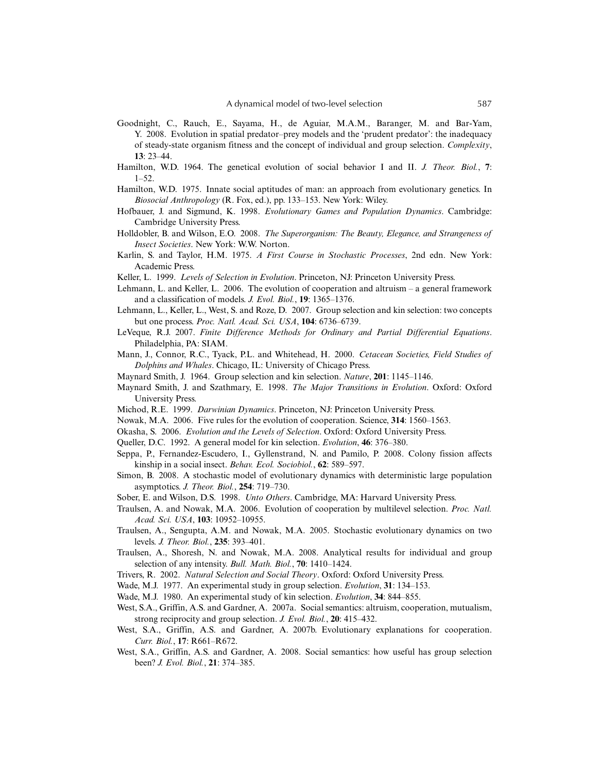- Goodnight, C., Rauch, E., Sayama, H., de Aguiar, M.A.M., Baranger, M. and Bar-Yam, Y. 2008. Evolution in spatial predator–prey models and the 'prudent predator': the inadequacy of steady-state organism fitness and the concept of individual and group selection. *Complexity*, **13**: 23–44.
- Hamilton, W.D. 1964. The genetical evolution of social behavior I and II. *J. Theor. Biol.*, **7**: 1–52.
- Hamilton, W.D. 1975. Innate social aptitudes of man: an approach from evolutionary genetics. In *Biosocial Anthropology* (R. Fox, ed.), pp. 133–153. New York: Wiley.
- Hofbauer, J. and Sigmund, K. 1998. *Evolutionary Games and Population Dynamics*. Cambridge: Cambridge University Press.
- Holldobler, B. and Wilson, E.O. 2008. *The Superorganism: The Beauty, Elegance, and Strangeness of Insect Societies*. New York: W.W. Norton.
- Karlin, S. and Taylor, H.M. 1975. *A First Course in Stochastic Processes*, 2nd edn. New York: Academic Press.
- Keller, L. 1999. *Levels of Selection in Evolution*. Princeton, NJ: Princeton University Press.
- Lehmann, L. and Keller, L. 2006. The evolution of cooperation and altruism a general framework and a classification of models. *J. Evol. Biol.*, **19**: 1365–1376.
- Lehmann, L., Keller, L., West, S. and Roze, D. 2007. Group selection and kin selection: two concepts but one process. *Proc. Natl. Acad. Sci. USA*, **104**: 6736–6739.
- LeVeque, R.J. 2007. *Finite Difference Methods for Ordinary and Partial Differential Equations*. Philadelphia, PA: SIAM.
- Mann, J., Connor, R.C., Tyack, P.L. and Whitehead, H. 2000. *Cetacean Societies, Field Studies of Dolphins and Whales*. Chicago, IL: University of Chicago Press.
- Maynard Smith, J. 1964. Group selection and kin selection. *Nature*, **201**: 1145–1146.
- Maynard Smith, J. and Szathmary, E. 1998. *The Major Transitions in Evolution*. Oxford: Oxford University Press.
- Michod, R.E. 1999. *Darwinian Dynamics*. Princeton, NJ: Princeton University Press.
- Nowak, M.A. 2006. Five rules for the evolution of cooperation. Science, **314**: 1560–1563.
- Okasha, S. 2006. *Evolution and the Levels of Selection*. Oxford: Oxford University Press.
- Queller, D.C. 1992. A general model for kin selection. *Evolution*, **46**: 376–380.
- Seppa, P., Fernandez-Escudero, I., Gyllenstrand, N. and Pamilo, P. 2008. Colony fission affects kinship in a social insect. *Behav. Ecol. Sociobiol.*, **62**: 589–597.
- Simon, B. 2008. A stochastic model of evolutionary dynamics with deterministic large population asymptotics. *J. Theor. Biol.*, **254**: 719–730.
- Sober, E. and Wilson, D.S. 1998. *Unto Others*. Cambridge, MA: Harvard University Press.
- Traulsen, A. and Nowak, M.A. 2006. Evolution of cooperation by multilevel selection. *Proc. Natl. Acad. Sci. USA*, **103**: 10952–10955.
- Traulsen, A., Sengupta, A.M. and Nowak, M.A. 2005. Stochastic evolutionary dynamics on two levels. *J. Theor. Biol.*, **235**: 393–401.
- Traulsen, A., Shoresh, N. and Nowak, M.A. 2008. Analytical results for individual and group selection of any intensity. *Bull. Math. Biol.*, **70**: 1410–1424.
- Trivers, R. 2002. *Natural Selection and Social Theory*. Oxford: Oxford University Press.
- Wade, M.J. 1977. An experimental study in group selection. *Evolution*, **31**: 134–153.
- Wade, M.J. 1980. An experimental study of kin selection. *Evolution*, **34**: 844–855.
- West, S.A., Griffin, A.S. and Gardner, A. 2007a. Social semantics: altruism, cooperation, mutualism, strong reciprocity and group selection. *J. Evol. Biol.*, **20**: 415–432.
- West, S.A., Griffin, A.S. and Gardner, A. 2007b. Evolutionary explanations for cooperation. *Curr. Biol.*, **17**: R661–R672.
- West, S.A., Griffin, A.S. and Gardner, A. 2008. Social semantics: how useful has group selection been? *J. Evol. Biol.*, **21**: 374–385.